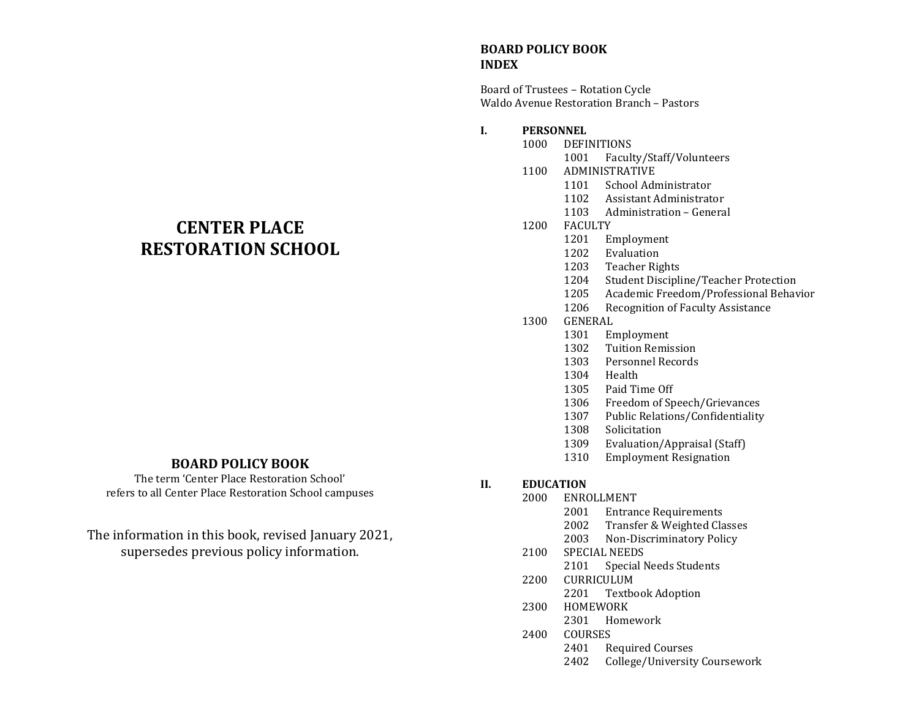# **CENTER PLACE RESTORATION SCHOOL**

## **BOARD POLICY BOOK**

The term 'Center Place Restoration School' refers to all Center Place Restoration School campuses

The information in this book, revised January 2021, supersedes previous policy information.

#### **BOARD POLICY BOOK INDEX**

Board of Trustees – Rotation Cycle Waldo Avenue Restoration Branch – Pastors

#### **I. PERSONNEL**

- DEFINITIONS
	- Faculty/Staff/Volunteers
	- ADMINISTRATIVE
		- School Administrator
		- Assistant Administrator
		- Administration General
- FACULTY
	- Employment
	- Evaluation
	- Teacher Rights
	- Student Discipline/Teacher Protection
	- Academic Freedom/Professional Behavior
	- Recognition of Faculty Assistance
- GENERAL
	- Employment
	- Tuition Remission
	- Personnel Records
	- Health
	- Paid Time Off
	- Freedom of Speech/Grievances
	- Public Relations/Confidentiality
	- Solicitation
	- Evaluation/Appraisal (Staff)
	- Employment Resignation

#### **II. EDUCATION**

- ENROLLMENT
	- Entrance Requirements
	- Transfer & Weighted Classes
	- Non-Discriminatory Policy
	- SPECIAL NEEDS
		- Special Needs Students
	- CURRICULUM Textbook Adoption
	- HOMEWORK
	- Homework
	- COURSES
		- Required Courses
		- College/University Coursework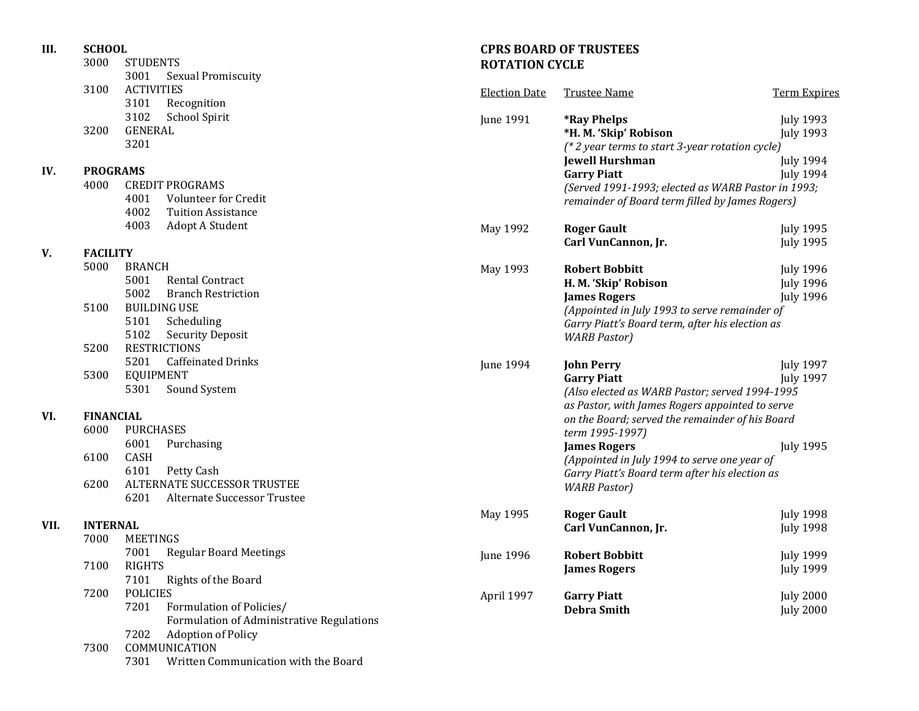| III.<br><b>SCHOOL</b><br>3000<br><b>STUDENTS</b><br>3001<br><b>Sexual Promiscuity</b> |                          | <b>CPRS BOARD OF TRUSTEES</b><br><b>ROTATION CYCLE</b>                                           |                      |                                                                                                                             |                                                          |
|---------------------------------------------------------------------------------------|--------------------------|--------------------------------------------------------------------------------------------------|----------------------|-----------------------------------------------------------------------------------------------------------------------------|----------------------------------------------------------|
|                                                                                       | 3100                     | <b>ACTIVITIES</b><br>3101<br>Recognition                                                         | <b>Election Date</b> | <b>Trustee Name</b>                                                                                                         | <b>Term Expires</b>                                      |
|                                                                                       | 3200                     | 3102<br>School Spirit<br><b>GENERAL</b><br>3201                                                  | <b>June 1991</b>     | <i><b>*Ray Phelps</b></i><br>*H. M. 'Skip' Robison<br>(* 2 year terms to start 3-year rotation cycle)                       | <b>July 1993</b><br><b>July 1993</b>                     |
| IV.                                                                                   | <b>PROGRAMS</b>          |                                                                                                  |                      | <b>Jewell Hurshman</b>                                                                                                      | <b>July 1994</b><br><b>July 1994</b>                     |
|                                                                                       | 4000                     | <b>CREDIT PROGRAMS</b><br>4001<br>Volunteer for Credit<br>4002<br><b>Tuition Assistance</b>      |                      | <b>Garry Piatt</b><br>(Served 1991-1993; elected as WARB Pastor in 1993;<br>remainder of Board term filled by James Rogers) |                                                          |
|                                                                                       |                          | 4003<br>Adopt A Student                                                                          | May 1992             | <b>Roger Gault</b><br>Carl VunCannon, Jr.                                                                                   | <b>July 1995</b><br><b>July 1995</b>                     |
| V.                                                                                    | <b>FACILITY</b>          |                                                                                                  |                      |                                                                                                                             |                                                          |
|                                                                                       | 5000                     | <b>BRANCH</b><br>5001<br><b>Rental Contract</b><br>5002<br><b>Branch Restriction</b>             | May 1993             | <b>Robert Bobbitt</b><br>H. M. 'Skip' Robison<br><b>James Rogers</b>                                                        | <b>July 1996</b><br><b>July 1996</b><br><b>July 1996</b> |
|                                                                                       | 5100                     | <b>BUILDING USE</b><br>5101<br>Scheduling<br>5102<br><b>Security Deposit</b>                     |                      | (Appointed in July 1993 to serve remainder of<br>Garry Piatt's Board term, after his election as                            |                                                          |
|                                                                                       | 5200                     | <b>RESTRICTIONS</b>                                                                              |                      | <b>WARB Pastor</b> )                                                                                                        |                                                          |
|                                                                                       | 5300                     | 5201<br><b>Caffeinated Drinks</b><br><b>EQUIPMENT</b><br>5301<br>Sound System                    | June 1994            | <b>John Perry</b><br><b>Garry Piatt</b><br>(Also elected as WARB Pastor; served 1994-1995                                   | <b>July 1997</b><br><b>July 1997</b>                     |
| VI.                                                                                   | <b>FINANCIAL</b><br>6000 | <b>PURCHASES</b>                                                                                 |                      | as Pastor, with James Rogers appointed to serve<br>on the Board; served the remainder of his Board<br>term 1995-1997)       |                                                          |
|                                                                                       | 6100                     | 6001<br>Purchasing<br>CASH<br>6101<br>Petty Cash                                                 |                      | <b>James Rogers</b><br>(Appointed in July 1994 to serve one year of<br>Garry Piatt's Board term after his election as       | <b>July 1995</b>                                         |
|                                                                                       | 6200                     | ALTERNATE SUCCESSOR TRUSTEE<br>6201<br>Alternate Successor Trustee                               |                      | <b>WARB Pastor</b> )                                                                                                        |                                                          |
| VII.                                                                                  | <b>INTERNAL</b>          |                                                                                                  | May 1995             | <b>Roger Gault</b><br>Carl VunCannon, Jr.                                                                                   | <b>July 1998</b><br><b>July 1998</b>                     |
|                                                                                       | 7000                     | <b>MEETINGS</b>                                                                                  |                      |                                                                                                                             |                                                          |
|                                                                                       | 7100                     | 7001<br><b>Regular Board Meetings</b><br><b>RIGHTS</b><br>7101 Rights of the Board               | June 1996            | <b>Robert Bobbitt</b><br><b>James Rogers</b>                                                                                | <b>July 1999</b><br><b>July 1999</b>                     |
|                                                                                       | 7200                     | <b>POLICIES</b><br>7201<br>Formulation of Policies/<br>Formulation of Administrative Regulations | April 1997           | <b>Garry Piatt</b><br><b>Debra Smith</b>                                                                                    | <b>July 2000</b><br><b>July 2000</b>                     |
|                                                                                       | 7300                     | 7202<br><b>Adoption of Policy</b><br>COMMUNICATION<br>7301 Written Communication with the Board  |                      |                                                                                                                             |                                                          |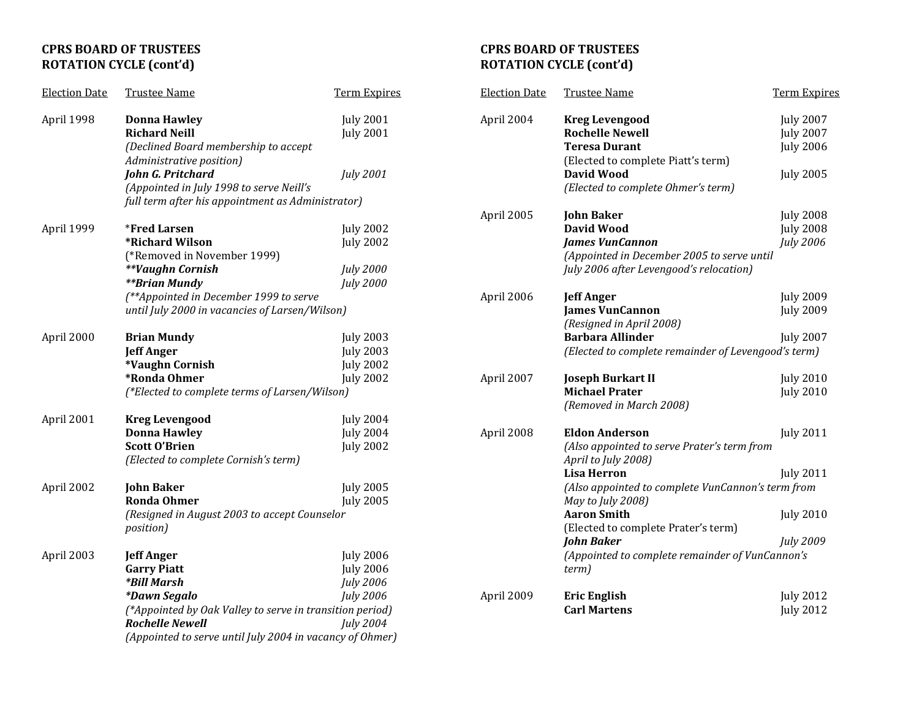# **CPRS BOARD OF TRUSTEES ROTATION CYCLE (cont'd)**

| <b>Election Date</b> | <b>Trustee Name</b>                                                                                                                                                                                                                                  | <b>Term Expires</b>                                                          |
|----------------------|------------------------------------------------------------------------------------------------------------------------------------------------------------------------------------------------------------------------------------------------------|------------------------------------------------------------------------------|
| April 1998           | <b>Donna Hawley</b><br><b>Richard Neill</b><br>(Declined Board membership to accept                                                                                                                                                                  | <b>July 2001</b><br><b>July 2001</b>                                         |
|                      | Administrative position)<br>John G. Pritchard<br>(Appointed in July 1998 to serve Neill's                                                                                                                                                            | July 2001                                                                    |
|                      | full term after his appointment as Administrator)                                                                                                                                                                                                    |                                                                              |
| April 1999           | <i><b>*Fred Larsen</b></i><br>*Richard Wilson                                                                                                                                                                                                        | <b>July 2002</b><br><b>July 2002</b>                                         |
|                      | (*Removed in November 1999)<br><b>**Vaughn Cornish</b><br><b>**Brian Mundy</b><br>(**Appointed in December 1999 to serve                                                                                                                             | <b>July 2000</b><br><b>July 2000</b>                                         |
|                      | until July 2000 in vacancies of Larsen/Wilson)                                                                                                                                                                                                       |                                                                              |
| April 2000           | <b>Brian Mundy</b><br><b>Jeff Anger</b><br>*Vaughn Cornish<br>*Ronda Ohmer<br>(*Elected to complete terms of Larsen/Wilson)                                                                                                                          | <b>July 2003</b><br><b>July 2003</b><br><b>July 2002</b><br><b>July 2002</b> |
| April 2001           | <b>Kreg Levengood</b><br><b>Donna Hawley</b><br><b>Scott O'Brien</b><br>(Elected to complete Cornish's term)                                                                                                                                         | <b>July 2004</b><br><b>July 2004</b><br><b>July 2002</b>                     |
| April 2002           | <b>John Baker</b><br><b>Ronda Ohmer</b><br>(Resigned in August 2003 to accept Counselor<br>position)                                                                                                                                                 | <b>July 2005</b><br><b>July 2005</b>                                         |
| April 2003           | <b>Jeff Anger</b><br><b>Garry Piatt</b><br><i><b>*Bill Marsh</b></i><br><i><b>*Dawn Segalo</b></i><br>(*Appointed by Oak Valley to serve in transition period)<br><b>Rochelle Newell</b><br>(Appointed to serve until July 2004 in vacancy of Ohmer) | <b>July 2006</b><br><b>July 2006</b><br>July 2006<br>July 2006<br>July 2004  |

# **CPRS BOARD OF TRUSTEES ROTATION CYCLE (cont'd)**

| <b>Election Date</b> | <b>Trustee Name</b>                                                                                                                                                                                                                                                                                                                       | <b>Term Expires</b>                                                          |
|----------------------|-------------------------------------------------------------------------------------------------------------------------------------------------------------------------------------------------------------------------------------------------------------------------------------------------------------------------------------------|------------------------------------------------------------------------------|
| April 2004           | <b>Kreg Levengood</b><br><b>Rochelle Newell</b><br><b>Teresa Durant</b><br>(Elected to complete Piatt's term)<br>David Wood<br>(Elected to complete Ohmer's term)                                                                                                                                                                         | <b>July 2007</b><br><b>July 2007</b><br><b>July 2006</b><br><b>July 2005</b> |
| April 2005           | <b>John Baker</b><br><b>David Wood</b><br><b>James VunCannon</b><br>(Appointed in December 2005 to serve until<br>July 2006 after Levengood's relocation)                                                                                                                                                                                 | <b>July 2008</b><br><b>July 2008</b><br>July 2006                            |
| April 2006           | <b>Jeff Anger</b><br><b>James VunCannon</b><br>(Resigned in April 2008)<br><b>Barbara Allinder</b><br>(Elected to complete remainder of Levengood's term)                                                                                                                                                                                 | <b>July 2009</b><br><b>July 2009</b><br><b>July 2007</b>                     |
| April 2007           | <b>Joseph Burkart II</b><br><b>Michael Prater</b><br>(Removed in March 2008)                                                                                                                                                                                                                                                              | <b>July 2010</b><br><b>July 2010</b>                                         |
| April 2008           | <b>Eldon Anderson</b><br>(Also appointed to serve Prater's term from<br>April to July 2008)<br><b>Lisa Herron</b><br>(Also appointed to complete VunCannon's term from<br>May to July 2008)<br><b>Aaron Smith</b><br>(Elected to complete Prater's term)<br><b>John Baker</b><br>(Appointed to complete remainder of VunCannon's<br>term) | <b>July 2011</b><br>July 2011<br><b>July 2010</b><br>July 2009               |
| April 2009           | <b>Eric English</b><br><b>Carl Martens</b>                                                                                                                                                                                                                                                                                                | <b>July 2012</b><br><b>July 2012</b>                                         |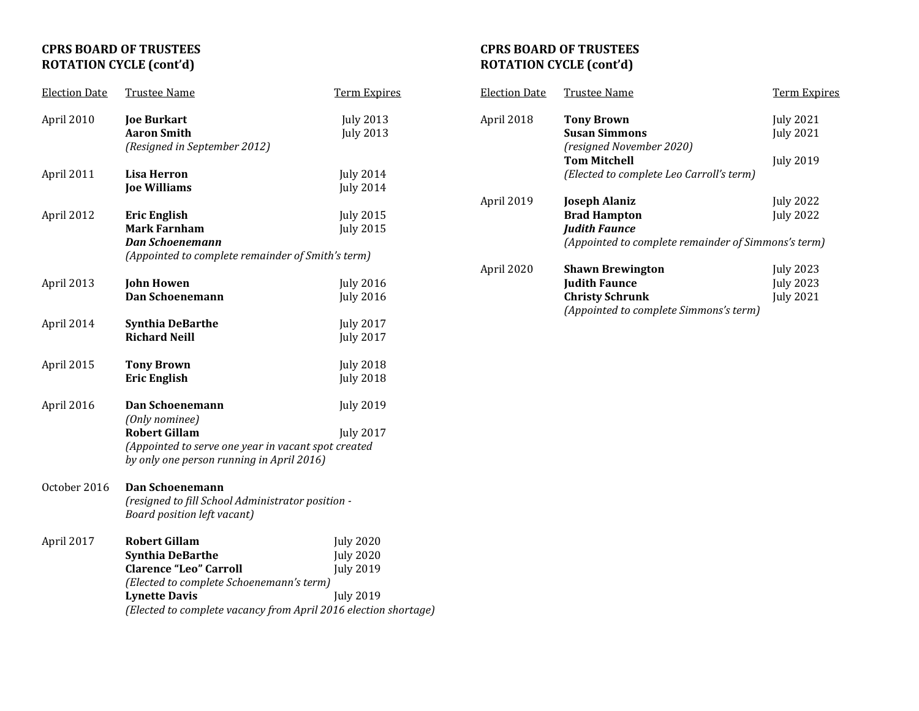# **CPRS BOARD OF TRUSTEES ROTATION CYCLE (cont'd)**

| <b>Election Date</b> | <b>Trustee Name</b>                                                                                                                                                                                                     | <b>Term Expires</b>                                                          |
|----------------------|-------------------------------------------------------------------------------------------------------------------------------------------------------------------------------------------------------------------------|------------------------------------------------------------------------------|
| April 2010           | <b>Joe Burkart</b><br><b>Aaron Smith</b><br>(Resigned in September 2012)                                                                                                                                                | <b>July 2013</b><br><b>July 2013</b>                                         |
| April 2011           | <b>Lisa Herron</b><br><b>Joe Williams</b>                                                                                                                                                                               | <b>July 2014</b><br><b>July 2014</b>                                         |
| April 2012           | <b>Eric English</b><br><b>Mark Farnham</b><br>Dan Schoenemann<br>(Appointed to complete remainder of Smith's term)                                                                                                      | <b>July 2015</b><br><b>July 2015</b>                                         |
| April 2013           | <b>John Howen</b><br>Dan Schoenemann                                                                                                                                                                                    | <b>July 2016</b><br><b>July 2016</b>                                         |
| April 2014           | <b>Synthia DeBarthe</b><br><b>Richard Neill</b>                                                                                                                                                                         | <b>July 2017</b><br><b>July 2017</b>                                         |
| April 2015           | <b>Tony Brown</b><br><b>Eric English</b>                                                                                                                                                                                | <b>July 2018</b><br><b>July 2018</b>                                         |
| April 2016           | <b>Dan Schoenemann</b><br>(Only nominee)<br><b>Robert Gillam</b><br>(Appointed to serve one year in vacant spot created<br>by only one person running in April 2016)                                                    | <b>July 2019</b><br><b>July 2017</b>                                         |
| October 2016         | Dan Schoenemann<br>(resigned to fill School Administrator position -<br><b>Board position left vacant)</b>                                                                                                              |                                                                              |
| April 2017           | <b>Robert Gillam</b><br><b>Synthia DeBarthe</b><br><b>Clarence "Leo" Carroll</b><br>(Elected to complete Schoenemann's term)<br><b>Lynette Davis</b><br>(Elected to complete vacancy from April 2016 election shortage) | <b>July 2020</b><br><b>July 2020</b><br><b>July 2019</b><br><b>July 2019</b> |

### **CPRS BOARD OF TRUSTEES ROTATION CYCLE (cont'd)**

| <b>Election Date</b> | Trustee Name                                        | <b>Term Expires</b> |
|----------------------|-----------------------------------------------------|---------------------|
| April 2018           | <b>Tony Brown</b>                                   | <b>July 2021</b>    |
|                      | <b>Susan Simmons</b>                                | <b>July 2021</b>    |
|                      | (resigned November 2020)                            |                     |
|                      | <b>Tom Mitchell</b>                                 | <b>July 2019</b>    |
|                      | (Elected to complete Leo Carroll's term)            |                     |
| April 2019           | <b>Joseph Alaniz</b>                                | <b>July 2022</b>    |
|                      | <b>Brad Hampton</b>                                 | <b>July 2022</b>    |
|                      | <b>Judith Faunce</b>                                |                     |
|                      | (Appointed to complete remainder of Simmons's term) |                     |
| April 2020           | <b>Shawn Brewington</b>                             | July 2023           |
|                      | <b>Judith Faunce</b>                                | <b>July 2023</b>    |
|                      | <b>Christy Schrunk</b>                              | <b>July 2021</b>    |
|                      | (Appointed to complete Simmons's term)              |                     |
|                      |                                                     |                     |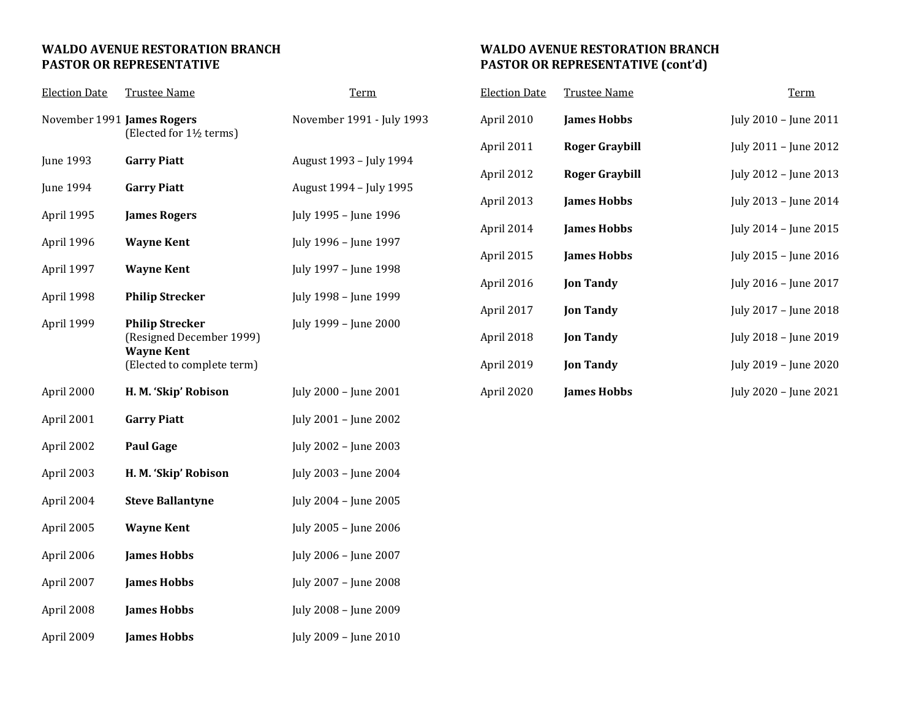### **WALDO AVENUE RESTORATION BRANCH PASTOR OR REPRESENTATIVE**

| <b>Election Date</b>       | <b>Trustee Name</b>                                                                                   | <b>Term</b>               |
|----------------------------|-------------------------------------------------------------------------------------------------------|---------------------------|
| November 1991 James Rogers | (Elected for 1½ terms)                                                                                | November 1991 - July 1993 |
| <b>June 1993</b>           | <b>Garry Piatt</b>                                                                                    | August 1993 - July 1994   |
| June 1994                  | <b>Garry Piatt</b>                                                                                    | August 1994 - July 1995   |
| April 1995                 | <b>James Rogers</b>                                                                                   | July 1995 - June 1996     |
| April 1996                 | <b>Wayne Kent</b>                                                                                     | July 1996 - June 1997     |
| April 1997                 | <b>Wayne Kent</b>                                                                                     | July 1997 - June 1998     |
| April 1998                 | <b>Philip Strecker</b>                                                                                | July 1998 - June 1999     |
| April 1999                 | <b>Philip Strecker</b><br>(Resigned December 1999)<br><b>Wayne Kent</b><br>(Elected to complete term) | July 1999 - June 2000     |
| April 2000                 | H. M. 'Skip' Robison                                                                                  | July 2000 - June 2001     |
| April 2001                 | <b>Garry Piatt</b>                                                                                    | July 2001 - June 2002     |
| April 2002                 | <b>Paul Gage</b>                                                                                      | July 2002 - June 2003     |
| April 2003                 | H. M. 'Skip' Robison                                                                                  | July 2003 - June 2004     |
| April 2004                 | <b>Steve Ballantyne</b>                                                                               | July 2004 - June 2005     |
| April 2005                 | <b>Wayne Kent</b>                                                                                     | July 2005 - June 2006     |
| April 2006                 | <b>James Hobbs</b>                                                                                    | July 2006 - June 2007     |
| April 2007                 | <b>James Hobbs</b>                                                                                    | July 2007 - June 2008     |
| April 2008                 | <b>James Hobbs</b>                                                                                    | July 2008 - June 2009     |
| April 2009                 | <b>James Hobbs</b>                                                                                    | July 2009 - June 2010     |

### **WALDO AVENUE RESTORATION BRANCH PASTOR OR REPRESENTATIVE (cont'd)**

| <b>Election Date</b> | <b>Trustee Name</b> | <b>Term</b>           |
|----------------------|---------------------|-----------------------|
| April 2010           | <b>James Hobbs</b>  | July 2010 - June 2011 |
| April 2011           | Roger Graybill      | July 2011 - June 2012 |
| April 2012           | Roger Graybill      | July 2012 – June 2013 |
| April 2013           | <b>James Hobbs</b>  | July 2013 – June 2014 |
| April 2014           | <b>James Hobbs</b>  | July 2014 - June 2015 |
| April 2015           | <b>James Hobbs</b>  | July 2015 - June 2016 |
| April 2016           | <b>Jon Tandy</b>    | July 2016 - June 2017 |
| April 2017           | <b>Jon Tandy</b>    | July 2017 - June 2018 |
| April 2018           | <b>Jon Tandy</b>    | July 2018 - June 2019 |
| April 2019           | <b>Jon Tandy</b>    | July 2019 - June 2020 |
| April 2020           | <b>James Hobbs</b>  | July 2020 - June 2021 |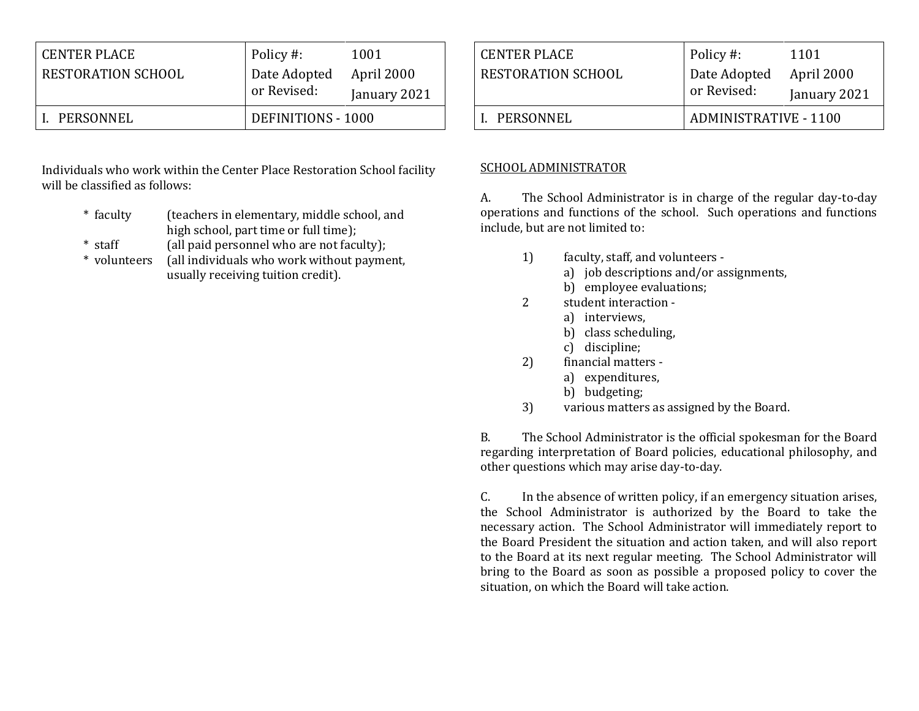| <b>CENTER PLACE</b>       | Policy #:          | 1001         |
|---------------------------|--------------------|--------------|
| <b>RESTORATION SCHOOL</b> | Date Adopted       | April 2000   |
|                           | or Revised:        | January 2021 |
| PERSONNEL                 | DEFINITIONS - 1000 |              |

Individuals who work within the Center Place Restoration School facility will be classified as follows:

- \* faculty (teachers in elementary, middle school, and high school, part time or full time);
- \* staff (all paid personnel who are not faculty);
- \* volunteers (all individuals who work without payment, usually receiving tuition credit).

| CENTER PLACE<br>RESTORATION SCHOOL | Policy #:<br>Date Adopted<br>or Revised: | 1101<br>April 2000<br>January 2021 |
|------------------------------------|------------------------------------------|------------------------------------|
| L. PERSONNEL                       | <b>ADMINISTRATIVE - 1100</b>             |                                    |

## SCHOOL ADMINISTRATOR

A. The School Administrator is in charge of the regular day-to-day operations and functions of the school. Such operations and functions include, but are not limited to:

- 1) faculty, staff, and volunteers
	- a) job descriptions and/or assignments,
	- b) employee evaluations;
- 2 student interaction
	- a) interviews,
	- b) class scheduling,
	- c) discipline;
- 2) financial matters
	- a) expenditures,
	- b) budgeting;
- 3) various matters as assigned by the Board.

B. The School Administrator is the official spokesman for the Board regarding interpretation of Board policies, educational philosophy, and other questions which may arise day-to-day.

C. In the absence of written policy, if an emergency situation arises, the School Administrator is authorized by the Board to take the necessary action. The School Administrator will immediately report to the Board President the situation and action taken, and will also report to the Board at its next regular meeting. The School Administrator will bring to the Board as soon as possible a proposed policy to cover the situation, on which the Board will take action.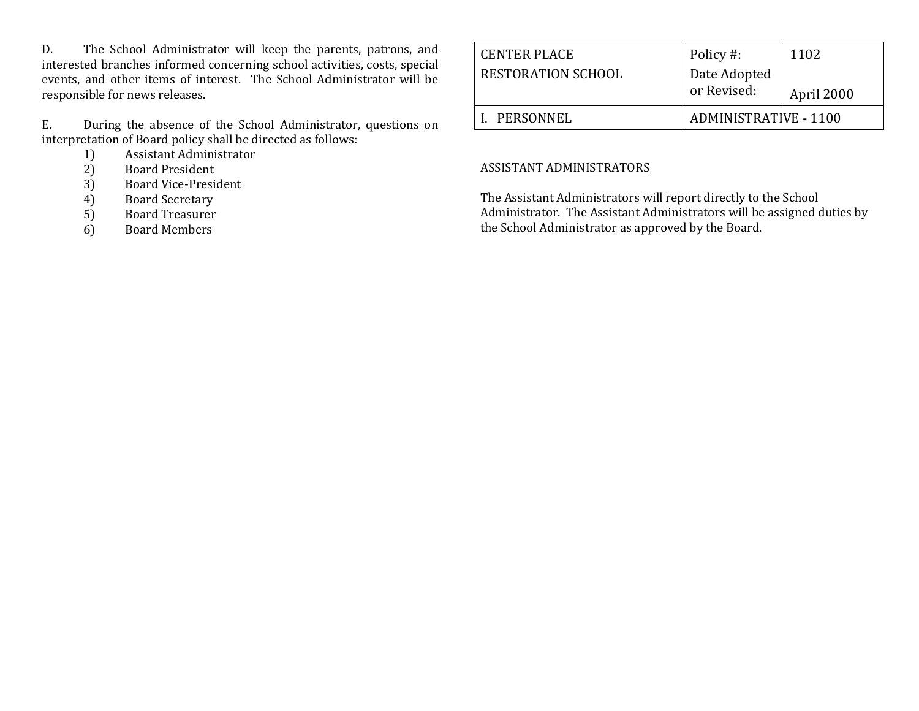D. The School Administrator will keep the parents, patrons, and interested branches informed concerning school activities, costs, special events, and other items of interest. The School Administrator will be responsible for news releases.

E. During the absence of the School Administrator, questions on interpretation of Board policy shall be directed as follows:

- 1) Assistant Administrator
- 2) Board President
- 3) Board Vice-President
- 4) Board Secretary
- 5) Board Treasurer
- 6) Board Members

| CENTER PLACE              | Policy #:                    | 1102       |
|---------------------------|------------------------------|------------|
| <b>RESTORATION SCHOOL</b> | Date Adopted                 |            |
|                           | or Revised:                  | April 2000 |
| I. PERSONNEL              | <b>ADMINISTRATIVE - 1100</b> |            |

# ASSISTANT ADMINISTRATORS

The Assistant Administrators will report directly to the School Administrator. The Assistant Administrators will be assigned duties by the School Administrator as approved by the Board.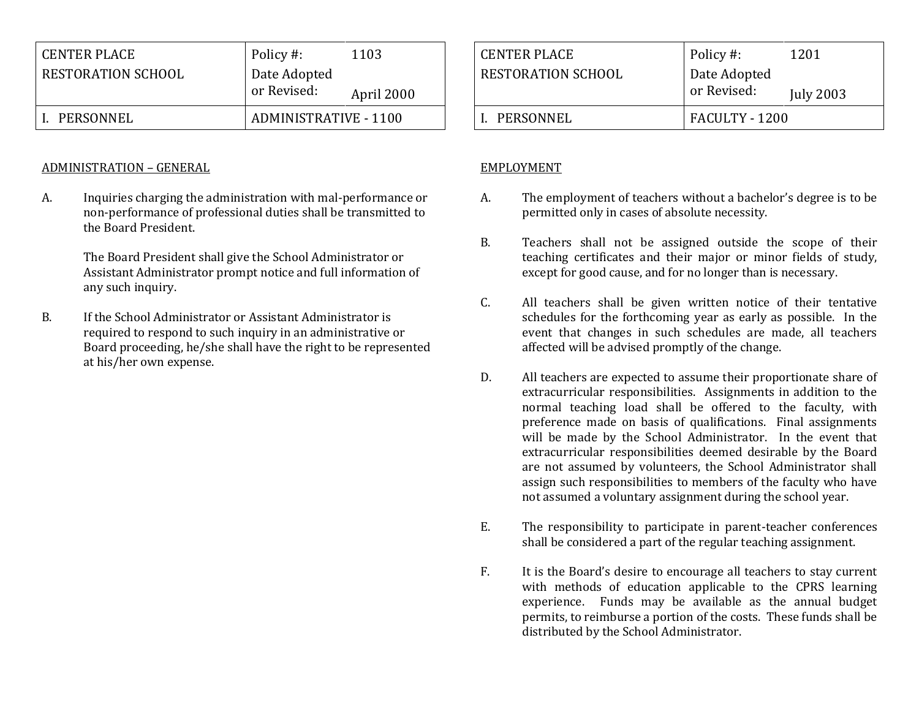| <b>CENTER PLACE</b> | Policy #:                    | 1103       |
|---------------------|------------------------------|------------|
| RESTORATION SCHOOL  | Date Adopted                 |            |
|                     | or Revised:                  | April 2000 |
| PERSONNEL           | <b>ADMINISTRATIVE - 1100</b> |            |

### ADMINISTRATION – GENERAL

A. Inquiries charging the administration with mal-performance or non-performance of professional duties shall be transmitted to the Board President.

> The Board President shall give the School Administrator or Assistant Administrator prompt notice and full information of any such inquiry.

B. If the School Administrator or Assistant Administrator is required to respond to such inquiry in an administrative or Board proceeding, he/she shall have the right to be represented at his/her own expense.

| CENTER PLACE       | Policy #:                                       | 1201 |
|--------------------|-------------------------------------------------|------|
| RESTORATION SCHOOL | Date Adopted<br>or Revised:<br><b>July 2003</b> |      |
| L. PERSONNEL       | FACULTY - 1200                                  |      |

### EMPLOYMENT

- A. The employment of teachers without a bachelor's degree is to be permitted only in cases of absolute necessity.
- B. Teachers shall not be assigned outside the scope of their teaching certificates and their major or minor fields of study, except for good cause, and for no longer than is necessary.
- C. All teachers shall be given written notice of their tentative schedules for the forthcoming year as early as possible. In the event that changes in such schedules are made, all teachers affected will be advised promptly of the change.
- D. All teachers are expected to assume their proportionate share of extracurricular responsibilities. Assignments in addition to the normal teaching load shall be offered to the faculty, with preference made on basis of qualifications. Final assignments will be made by the School Administrator. In the event that extracurricular responsibilities deemed desirable by the Board are not assumed by volunteers, the School Administrator shall assign such responsibilities to members of the faculty who have not assumed a voluntary assignment during the school year.
- E. The responsibility to participate in parent-teacher conferences shall be considered a part of the regular teaching assignment.
- F. It is the Board's desire to encourage all teachers to stay current with methods of education applicable to the CPRS learning experience. Funds may be available as the annual budget permits, to reimburse a portion of the costs. These funds shall be distributed by the School Administrator.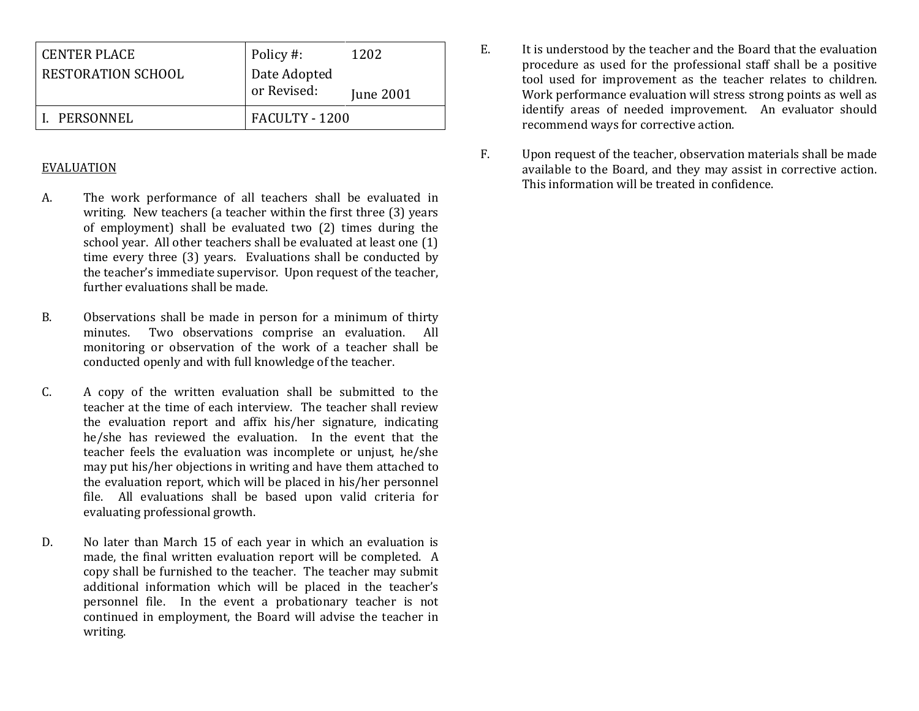| <b>PERSONNEL</b>                                 | FACULTY - 1200                           |                   |
|--------------------------------------------------|------------------------------------------|-------------------|
| <b>CENTER PLACE</b><br><b>RESTORATION SCHOOL</b> | Policy #:<br>Date Adopted<br>or Revised: | 1202<br>June 2001 |
|                                                  |                                          |                   |

#### EVALUATION

- A. The work performance of all teachers shall be evaluated in writing. New teachers (a teacher within the first three (3) years of employment) shall be evaluated two (2) times during the school year. All other teachers shall be evaluated at least one (1) time every three (3) years. Evaluations shall be conducted by the teacher's immediate supervisor. Upon request of the teacher, further evaluations shall be made.
- B. Observations shall be made in person for a minimum of thirty minutes. Two observations comprise an evaluation. All monitoring or observation of the work of a teacher shall be conducted openly and with full knowledge of the teacher.
- C. A copy of the written evaluation shall be submitted to the teacher at the time of each interview. The teacher shall review the evaluation report and affix his/her signature, indicating he/she has reviewed the evaluation. In the event that the teacher feels the evaluation was incomplete or unjust, he/she may put his/her objections in writing and have them attached to the evaluation report, which will be placed in his/her personnel file. All evaluations shall be based upon valid criteria for evaluating professional growth.
- D. No later than March 15 of each year in which an evaluation is made, the final written evaluation report will be completed. A copy shall be furnished to the teacher. The teacher may submit additional information which will be placed in the teacher's personnel file. In the event a probationary teacher is not continued in employment, the Board will advise the teacher in writing.
- E. It is understood by the teacher and the Board that the evaluation procedure as used for the professional staff shall be a positive tool used for improvement as the teacher relates to children. Work performance evaluation will stress strong points as well as identify areas of needed improvement. An evaluator should recommend ways for corrective action.
- F. Upon request of the teacher, observation materials shall be made available to the Board, and they may assist in corrective action. This information will be treated in confidence.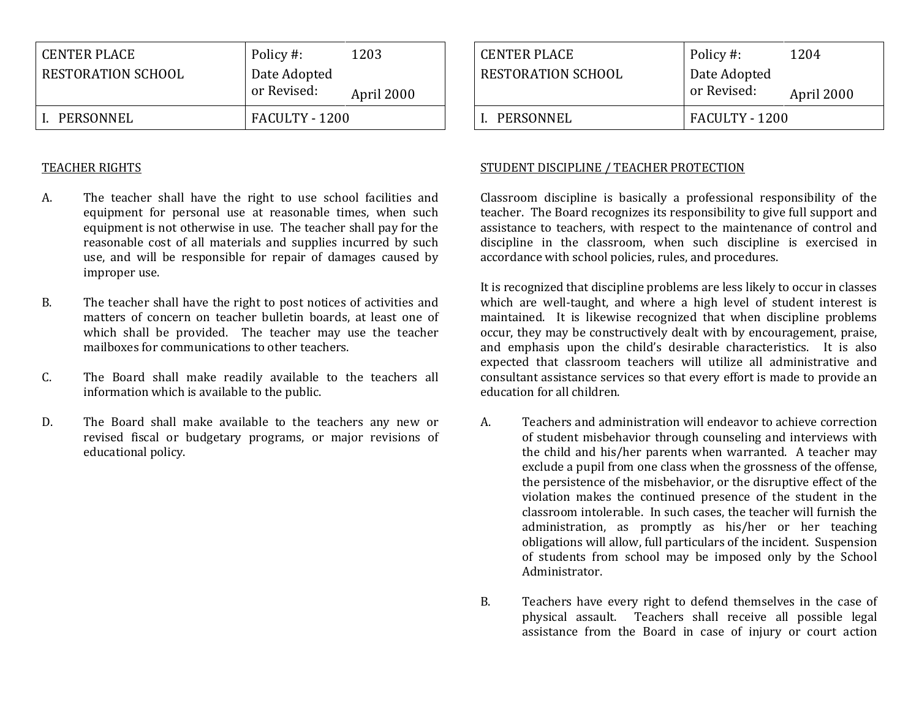| CENTER PLACE       | Policy #:                   | 1203       |
|--------------------|-----------------------------|------------|
| RESTORATION SCHOOL | Date Adopted<br>or Revised: | April 2000 |
| PERSONNEL          | FACULTY - 1200              |            |

#### TEACHER RIGHTS

- A. The teacher shall have the right to use school facilities and equipment for personal use at reasonable times, when such equipment is not otherwise in use. The teacher shall pay for the reasonable cost of all materials and supplies incurred by such use, and will be responsible for repair of damages caused by improper use.
- B. The teacher shall have the right to post notices of activities and matters of concern on teacher bulletin boards, at least one of which shall be provided. The teacher may use the teacher mailboxes for communications to other teachers.
- C. The Board shall make readily available to the teachers all information which is available to the public.
- D. The Board shall make available to the teachers any new or revised fiscal or budgetary programs, or major revisions of educational policy.

| <b>CENTER PLACE</b>       | Policy #:                   | 1204       |
|---------------------------|-----------------------------|------------|
| <b>RESTORATION SCHOOL</b> | Date Adopted<br>or Revised: | April 2000 |
| L. PERSONNEL              | FACULTY - 1200              |            |

### STUDENT DISCIPLINE / TEACHER PROTECTION

Classroom discipline is basically a professional responsibility of the teacher. The Board recognizes its responsibility to give full support and assistance to teachers, with respect to the maintenance of control and discipline in the classroom, when such discipline is exercised in accordance with school policies, rules, and procedures.

It is recognized that discipline problems are less likely to occur in classes which are well-taught, and where a high level of student interest is maintained. It is likewise recognized that when discipline problems occur, they may be constructively dealt with by encouragement, praise, and emphasis upon the child's desirable characteristics.It is also expected that classroom teachers will utilize all administrative and consultant assistance services so that every effort is made to provide an education for all children.

- A. Teachers and administration will endeavor to achieve correction of student misbehavior through counseling and interviews with the child and his/her parents when warranted. A teacher may exclude a pupil from one class when the grossness of the offense, the persistence of the misbehavior, or the disruptive effect of the violation makes the continued presence of the student in the classroom intolerable. In such cases, the teacher will furnish the administration, as promptly as his/her or her teaching obligations will allow, full particulars of the incident. Suspension of students from school may be imposed only by the School Administrator.
- B. Teachers have every right to defend themselves in the case of physical assault. Teachers shall receive all possible legal assistance from the Board in case of injury or court action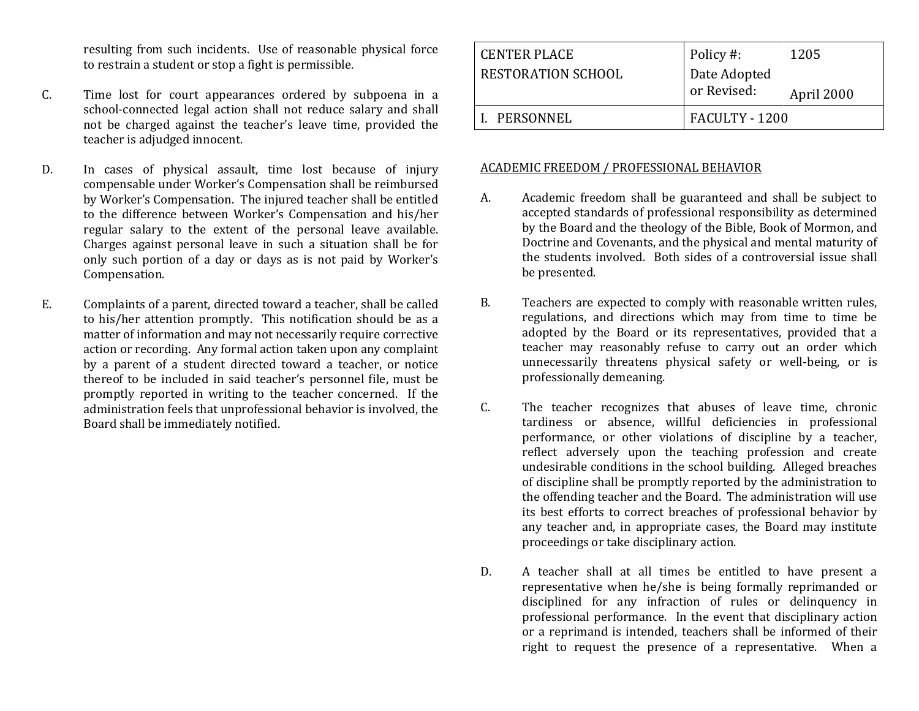resulting from such incidents. Use of reasonable physical force to restrain a student or stop a fight is permissible.

- C. Time lost for court appearances ordered by subpoena in a school-connected legal action shall not reduce salary and shall not be charged against the teacher's leave time, provided the teacher is adjudged innocent.
- D. In cases of physical assault, time lost because of injury compensable under Worker's Compensation shall be reimbursed by Worker's Compensation. The injured teacher shall be entitled to the difference between Worker's Compensation and his/her regular salary to the extent of the personal leave available. Charges against personal leave in such a situation shall be for only such portion of a day or days as is not paid by Worker's Compensation.
- E. Complaints of a parent, directed toward a teacher, shall be called to his/her attention promptly. This notification should be as a matter of information and may not necessarily require corrective action or recording. Any formal action taken upon any complaint by a parent of a student directed toward a teacher, or notice thereof to be included in said teacher's personnel file, must be promptly reported in writing to the teacher concerned. If the administration feels that unprofessional behavior is involved, the Board shall be immediately notified.

| <b>CENTER PLACE</b> | Policy #:                   | 1205       |
|---------------------|-----------------------------|------------|
| RESTORATION SCHOOL  | Date Adopted<br>or Revised: |            |
|                     |                             | April 2000 |
| I. PERSONNEL        | FACULTY - 1200              |            |

#### ACADEMIC FREEDOM / PROFESSIONAL BEHAVIOR

- A. Academic freedom shall be guaranteed and shall be subject to accepted standards of professional responsibility as determined by the Board and the theology of the Bible, Book of Mormon, and Doctrine and Covenants, and the physical and mental maturity of the students involved. Both sides of a controversial issue shall be presented.
- B. Teachers are expected to comply with reasonable written rules, regulations, and directions which may from time to time be adopted by the Board or its representatives, provided that a teacher may reasonably refuse to carry out an order which unnecessarily threatens physical safety or well-being, or is professionally demeaning.
- C. The teacher recognizes that abuses of leave time, chronic tardiness or absence, willful deficiencies in professional performance, or other violations of discipline by a teacher, reflect adversely upon the teaching profession and create undesirable conditions in the school building. Alleged breaches of discipline shall be promptly reported by the administration to the offending teacher and the Board. The administration will use its best efforts to correct breaches of professional behavior by any teacher and, in appropriate cases, the Board may institute proceedings or take disciplinary action.
- D. A teacher shall at all times be entitled to have present a representative when he/she is being formally reprimanded or disciplined for any infraction of rules or delinquency in professional performance. In the event that disciplinary action or a reprimand is intended, teachers shall be informed of their right to request the presence of a representative. When a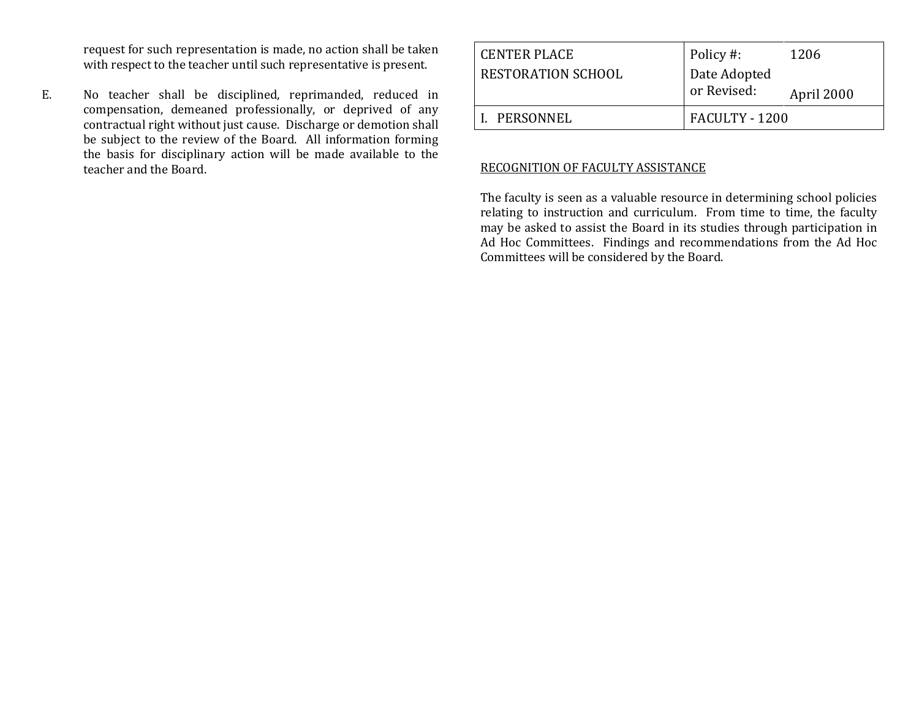request for such representation is made, no action shall be taken with respect to the teacher until such representative is present.

E. No teacher shall be disciplined, reprimanded, reduced in compensation, demeaned professionally, or deprived of any contractual right without just cause. Discharge or demotion shall be subject to the review of the Board. All information forming the basis for disciplinary action will be made available to the teacher and the Board.

| l CENTER PLACE            | Policy #:                   | 1206       |
|---------------------------|-----------------------------|------------|
| <b>RESTORATION SCHOOL</b> | Date Adopted<br>or Revised: | April 2000 |
| I. PERSONNEL              | FACULTY - 1200              |            |

#### RECOGNITION OF FACULTY ASSISTANCE

The faculty is seen as a valuable resource in determining school policies relating to instruction and curriculum. From time to time, the faculty may be asked to assist the Board in its studies through participation in Ad Hoc Committees. Findings and recommendations from the Ad Hoc Committees will be considered by the Board.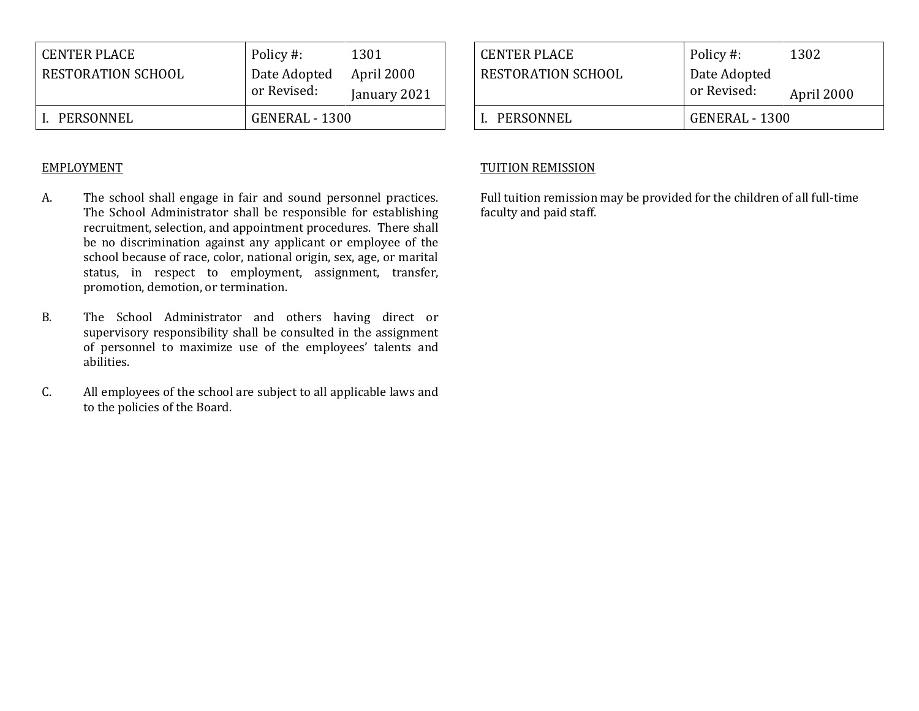| <b>CENTER PLACE</b>       | Policy #:      | 1301         |
|---------------------------|----------------|--------------|
| <b>RESTORATION SCHOOL</b> | Date Adopted   | April 2000   |
|                           | or Revised:    | January 2021 |
| PERSONNEL                 | GENERAL - 1300 |              |

### EMPLOYMENT

- A. The school shall engage in fair and sound personnel practices. The School Administrator shall be responsible for establishing recruitment, selection, and appointment procedures. There shall be no discrimination against any applicant or employee of the school because of race, color, national origin, sex, age, or marital status, in respect to employment, assignment, transfer, promotion, demotion, or termination.
- B. The School Administrator and others having direct or supervisory responsibility shall be consulted in the assignment of personnel to maximize use of the employees' talents and abilities.
- C. All employees of the school are subject to all applicable laws and to the policies of the Board.

| <b>CENTER PLACE</b> | Policy #:                   | 1302       |
|---------------------|-----------------------------|------------|
| RESTORATION SCHOOL  | Date Adopted<br>or Revised: | April 2000 |
| PERSONNEL           | GENERAL - 1300              |            |

## TUITION REMISSION

Full tuition remission may be provided for the children of all full-time faculty and paid staff.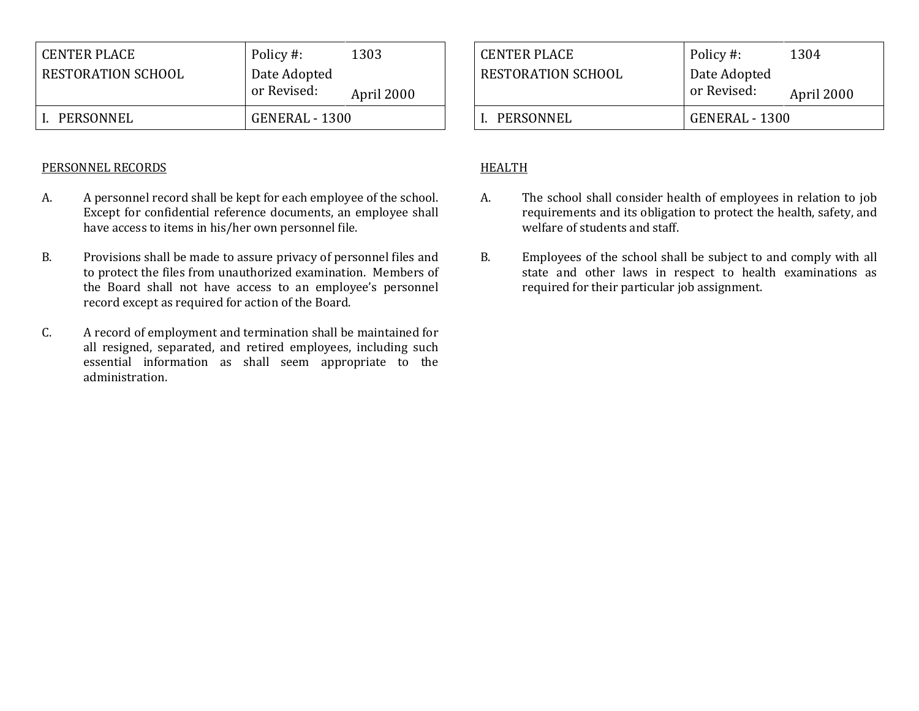| PERSONNEL                                 | or Revised:<br>GENERAL - 1300 | April 2000 |
|-------------------------------------------|-------------------------------|------------|
| <b>CENTER PLACE</b><br>RESTORATION SCHOOL | Policy #:<br>Date Adopted     | 1303       |

### PERSONNEL RECORDS

- A. A personnel record shall be kept for each employee of the school. Except for confidential reference documents, an employee shall have access to items in his/her own personnel file.
- B. Provisions shall be made to assure privacy of personnel files and to protect the files from unauthorized examination. Members of the Board shall not have access to an employee's personnel record except as required for action of the Board.
- C. A record of employment and termination shall be maintained for all resigned, separated, and retired employees, including such essential information as shall seem appropriate to the administration.

| <b>CENTER PLACE</b>       | Policy #:                   | 1304       |
|---------------------------|-----------------------------|------------|
| <b>RESTORATION SCHOOL</b> | Date Adopted<br>or Revised: | April 2000 |
| PERSONNEL                 | GENERAL - 1300              |            |

# HEALTH

- A. The school shall consider health of employees in relation to job requirements and its obligation to protect the health, safety, and welfare of students and staff.
- B. Employees of the school shall be subject to and comply with all state and other laws in respect to health examinations as required for their particular job assignment.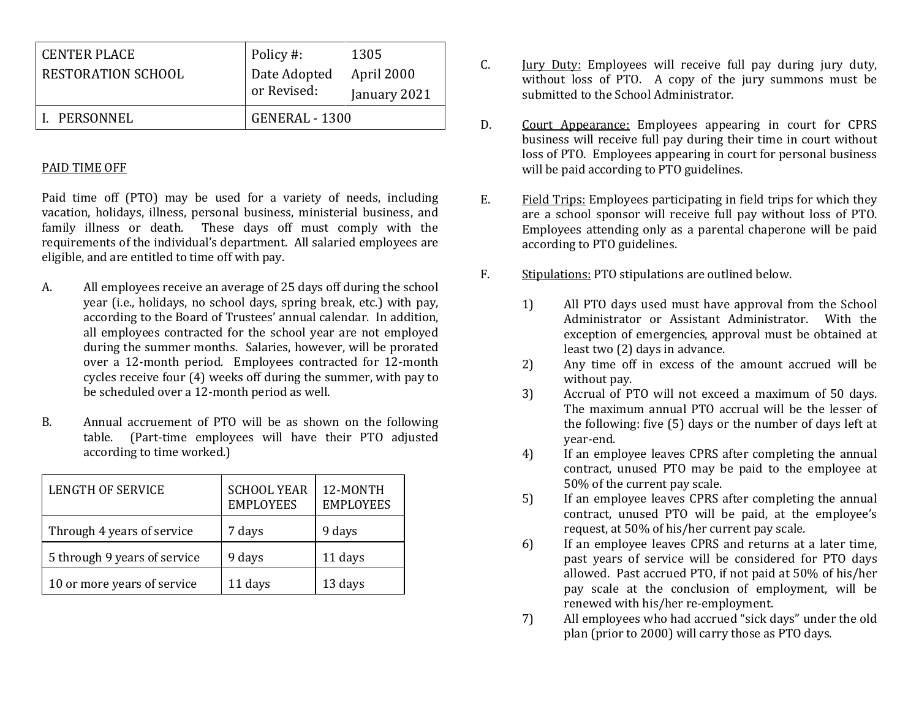| <b>CENTER PLACE</b>       | Policy #:                   | 1305         |
|---------------------------|-----------------------------|--------------|
| <b>RESTORATION SCHOOL</b> | Date Adopted<br>or Revised: | April 2000   |
|                           |                             | January 2021 |
| PERSONNEL                 | GENERAL - 1300              |              |

#### PAID TIME OFF

Paid time off (PTO) may be used for a variety of needs, including vacation, holidays, illness, personal business, ministerial business, and family illness or death. These days off must comply with the requirements of the individual's department. All salaried employees are eligible, and are entitled to time off with pay.

- A. All employees receive an average of 25 days off during the school year (i.e., holidays, no school days, spring break, etc.) with pay, according to the Board of Trustees' annual calendar. In addition, all employees contracted for the school year are not employed during the summer months. Salaries, however, will be prorated over a 12-month period. Employees contracted for 12-month cycles receive four (4) weeks off during the summer, with pay to be scheduled over a 12-month period as well.
- B. Annual accruement of PTO will be as shown on the following table. (Part-time employees will have their PTO adjusted according to time worked.)

| LENGTH OF SERVICE            | <b>SCHOOL YEAR</b><br><b>EMPLOYEES</b> | 12-MONTH<br><b>EMPLOYEES</b> |
|------------------------------|----------------------------------------|------------------------------|
| Through 4 years of service   | 7 days                                 | 9 days                       |
| 5 through 9 years of service | 9 days                                 | 11 days                      |
| 10 or more years of service  | 11 days                                | 13 days                      |

- C. Jury Duty: Employees will receive full pay during jury duty, without loss of PTO. A copy of the jury summons must be submitted to the School Administrator.
- D. Court Appearance: Employees appearing in court for CPRS business will receive full pay during their time in court without loss of PTO. Employees appearing in court for personal business will be paid according to PTO guidelines.
- E. Field Trips: Employees participating in field trips for which they are a school sponsor will receive full pay without loss of PTO. Employees attending only as a parental chaperone will be paid according to PTO guidelines.
- F. Stipulations: PTO stipulations are outlined below.
	- 1) All PTO days used must have approval from the School Administrator or Assistant Administrator. With the exception of emergencies, approval must be obtained at least two (2) days in advance.
	- 2) Any time off in excess of the amount accrued will be without pay.
	- 3) Accrual of PTO will not exceed a maximum of 50 days. The maximum annual PTO accrual will be the lesser of the following: five (5) days or the number of days left at year-end.
	- 4) If an employee leaves CPRS after completing the annual contract, unused PTO may be paid to the employee at 50% of the current pay scale.
	- 5) If an employee leaves CPRS after completing the annual contract, unused PTO will be paid, at the employee's request, at 50% of his/her current pay scale.
	- 6) If an employee leaves CPRS and returns at a later time, past years of service will be considered for PTO days allowed. Past accrued PTO, if not paid at 50% of his/her pay scale at the conclusion of employment, will be renewed with his/her re-employment.
	- 7) All employees who had accrued "sick days" under the old plan (prior to 2000) will carry those as PTO days.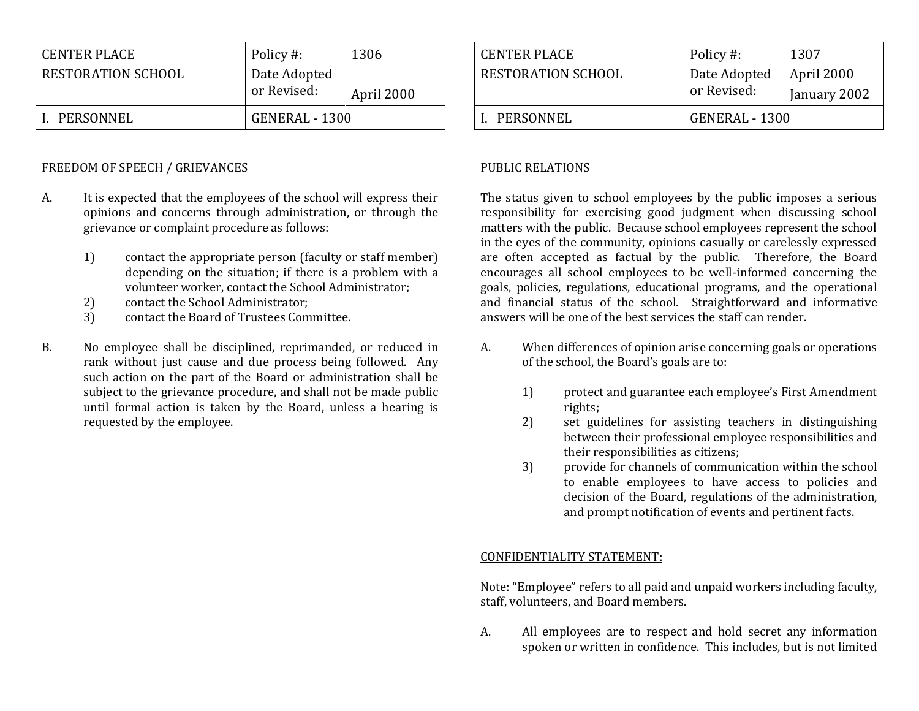| RESTORATION SCHOOL | Date Adopted<br>or Revised: | April 2000 |
|--------------------|-----------------------------|------------|
| PERSONNEL          | GENERAL - 1300              |            |

#### FREEDOM OF SPEECH / GRIEVANCES

- A. It is expected that the employees of the school will express their opinions and concerns through administration, or through the grievance or complaint procedure as follows:
	- 1) contact the appropriate person (faculty or staff member) depending on the situation; if there is a problem with a volunteer worker, contact the School Administrator;
	- 2) contact the School Administrator;
	- 3) contact the Board of Trustees Committee.
- B. No employee shall be disciplined, reprimanded, or reduced in rank without just cause and due process being followed. Any such action on the part of the Board or administration shall be subject to the grievance procedure, and shall not be made public until formal action is taken by the Board, unless a hearing is requested by the employee.

| CENTER PLACE              | Policy #:                   | 1307                       |
|---------------------------|-----------------------------|----------------------------|
| <b>RESTORATION SCHOOL</b> | Date Adopted<br>or Revised: | April 2000<br>January 2002 |
|                           |                             |                            |
| L. PERSONNEL              | GENERAL - 1300              |                            |

## PUBLIC RELATIONS

The status given to school employees by the public imposes a serious responsibility for exercising good judgment when discussing school matters with the public. Because school employees represent the school in the eyes of the community, opinions casually or carelessly expressed are often accepted as factual by the public. Therefore, the Board encourages all school employees to be well-informed concerning the goals, policies, regulations, educational programs, and the operational and financial status of the school. Straightforward and informative answers will be one of the best services the staff can render.

- A. When differences of opinion arise concerning goals or operations of the school, the Board's goals are to:
	- 1) protect and guarantee each employee's First Amendment rights;
	- 2) set guidelines for assisting teachers in distinguishing between their professional employee responsibilities and their responsibilities as citizens;
	- 3) provide for channels of communication within the school to enable employees to have access to policies and decision of the Board, regulations of the administration, and prompt notification of events and pertinent facts.

#### CONFIDENTIALITY STATEMENT:

Note: "Employee" refers to all paid and unpaid workers including faculty, staff, volunteers, and Board members.

A. All employees are to respect and hold secret any information spoken or written in confidence. This includes, but is not limited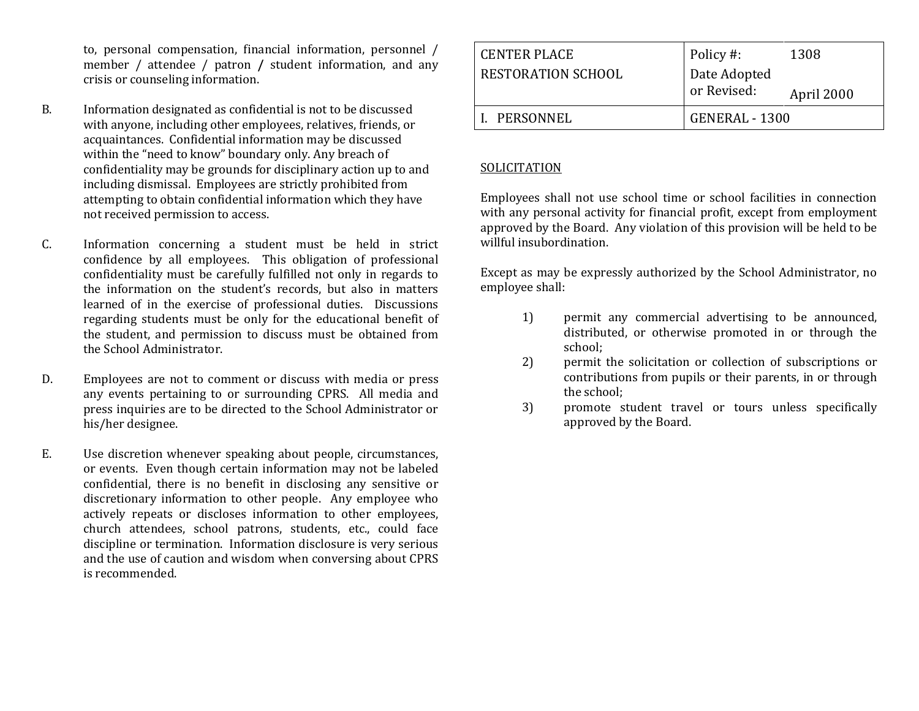to, personal compensation, financial information, personnel / member / attendee / patron **/** student information, and any crisis or counseling information.

- B. Information designated as confidential is not to be discussed with anyone, including other employees, relatives, friends, or acquaintances. Confidential information may be discussed within the "need to know" boundary only. Any breach of confidentiality may be grounds for disciplinary action up to and including dismissal. Employees are strictly prohibited from attempting to obtain confidential information which they have not received permission to access.
- C. Information concerning a student must be held in strict confidence by all employees. This obligation of professional confidentiality must be carefully fulfilled not only in regards to the information on the student's records, but also in matters learned of in the exercise of professional duties. Discussions regarding students must be only for the educational benefit of the student, and permission to discuss must be obtained from the School Administrator.
- D. Employees are not to comment or discuss with media or press any events pertaining to or surrounding CPRS. All media and press inquiries are to be directed to the School Administrator or his/her designee.
- E. Use discretion whenever speaking about people, circumstances, or events. Even though certain information may not be labeled confidential, there is no benefit in disclosing any sensitive or discretionary information to other people. Any employee who actively repeats or discloses information to other employees, church attendees, school patrons, students, etc., could face discipline or termination. Information disclosure is very serious and the use of caution and wisdom when conversing about CPRS is recommended.

| <b>CENTER PLACE</b> | Policy #:                   | 1308       |
|---------------------|-----------------------------|------------|
| RESTORATION SCHOOL  | Date Adopted<br>or Revised: | April 2000 |
| I. PERSONNEL        | GENERAL - 1300              |            |

### **SOLICITATION**

Employees shall not use school time or school facilities in connection with any personal activity for financial profit, except from employment approved by the Board. Any violation of this provision will be held to be willful insubordination.

Except as may be expressly authorized by the School Administrator, no employee shall:

- 1) permit any commercial advertising to be announced, distributed, or otherwise promoted in or through the school;
- 2) permit the solicitation or collection of subscriptions or contributions from pupils or their parents, in or through the school;
- 3) promote student travel or tours unless specifically approved by the Board.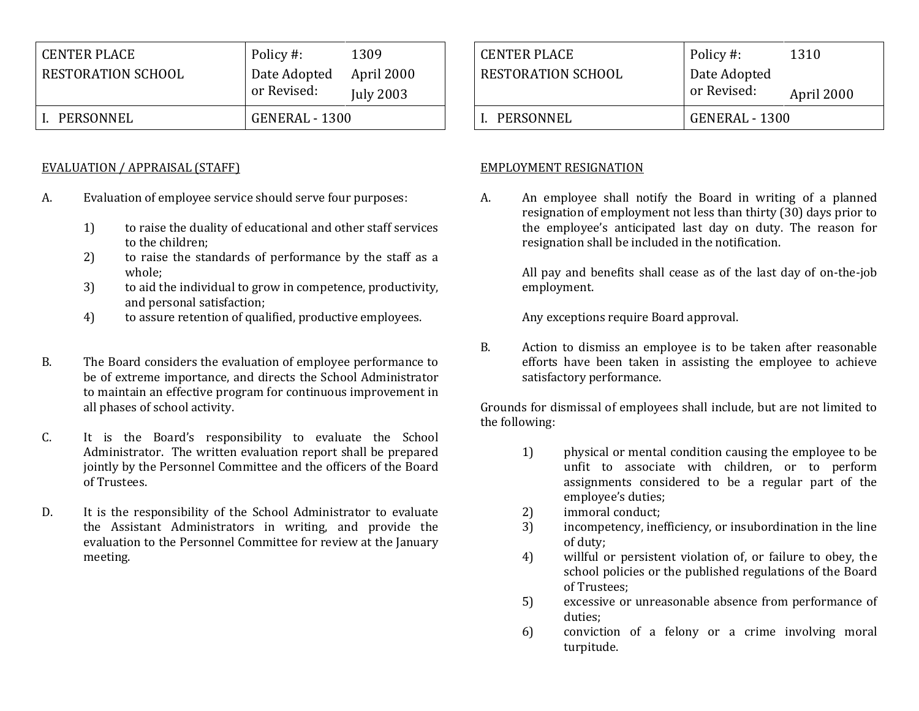| <b>CENTER PLACE</b> | Policy #:      | 1309             |
|---------------------|----------------|------------------|
| RESTORATION SCHOOL  | Date Adopted   | April 2000       |
|                     | or Revised:    | <b>July 2003</b> |
| PERSONNEL           | GENERAL - 1300 |                  |

### EVALUATION / APPRAISAL (STAFF)

- A. Evaluation of employee service should serve four purposes:
	- 1) to raise the duality of educational and other staff services to the children;
	- 2) to raise the standards of performance by the staff as a whole;
	- 3) to aid the individual to grow in competence, productivity, and personal satisfaction;
	- 4) to assure retention of qualified, productive employees.
- B. The Board considers the evaluation of employee performance to be of extreme importance, and directs the School Administrator to maintain an effective program for continuous improvement in all phases of school activity.
- C. It is the Board's responsibility to evaluate the School Administrator. The written evaluation report shall be prepared jointly by the Personnel Committee and the officers of the Board of Trustees.
- D. It is the responsibility of the School Administrator to evaluate the Assistant Administrators in writing, and provide the evaluation to the Personnel Committee for review at the January meeting.

| CENTER PLACE              | Policy #:                   | 1310       |
|---------------------------|-----------------------------|------------|
| <b>RESTORATION SCHOOL</b> | Date Adopted<br>or Revised: | April 2000 |
|                           |                             |            |
| L. PERSONNEL              | GENERAL - 1300              |            |

### EMPLOYMENT RESIGNATION

A. An employee shall notify the Board in writing of a planned resignation of employment not less than thirty (30) days prior to the employee's anticipated last day on duty. The reason for resignation shall be included in the notification.

> All pay and benefits shall cease as of the last day of on-the-job employment.

Any exceptions require Board approval.

B. Action to dismiss an employee is to be taken after reasonable efforts have been taken in assisting the employee to achieve satisfactory performance.

Grounds for dismissal of employees shall include, but are not limited to the following:

- 1) physical or mental condition causing the employee to be unfit to associate with children, or to perform assignments considered to be a regular part of the employee's duties;
- 2) immoral conduct;
- 3) incompetency, inefficiency, or insubordination in the line of duty;
- 4) willful or persistent violation of, or failure to obey, the school policies or the published regulations of the Board of Trustees;
- 5) excessive or unreasonable absence from performance of duties;
- 6) conviction of a felony or a crime involving moral turpitude.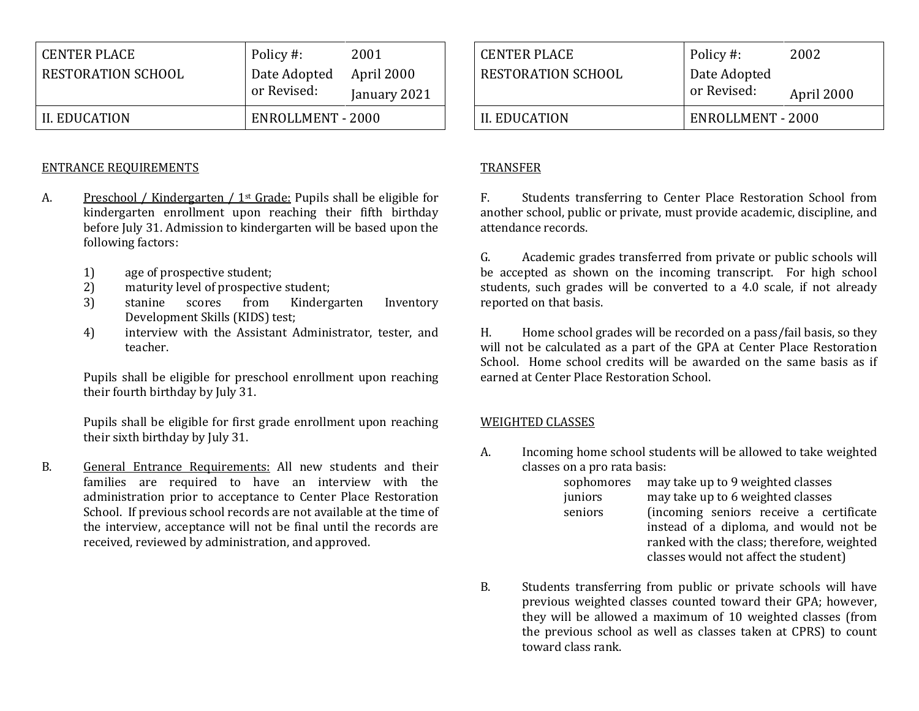| <b>CENTER PLACE</b> | Policy #:         | 2001         |
|---------------------|-------------------|--------------|
| RESTORATION SCHOOL  | Date Adopted      | April 2000   |
|                     | or Revised:       | January 2021 |
| II. EDUCATION       | ENROLLMENT - 2000 |              |

#### ENTRANCE REQUIREMENTS

- A. Preschool / Kindergarten / 1st Grade: Pupils shall be eligible for kindergarten enrollment upon reaching their fifth birthday before July 31. Admission to kindergarten will be based upon the following factors:
	- 1) age of prospective student;
	- 2) maturity level of prospective student;
	- 3) stanine scores from Kindergarten Inventory Development Skills (KIDS) test;
	- 4) interview with the Assistant Administrator, tester, and teacher.

Pupils shall be eligible for preschool enrollment upon reaching their fourth birthday by July 31.

Pupils shall be eligible for first grade enrollment upon reaching their sixth birthday by July 31.

B. General Entrance Requirements: All new students and their families are required to have an interview with the administration prior to acceptance to Center Place Restoration School. If previous school records are not available at the time of the interview, acceptance will not be final until the records are received, reviewed by administration, and approved.

| CENTER PLACE       | Policy #:                   | 2002       |
|--------------------|-----------------------------|------------|
| RESTORATION SCHOOL | Date Adopted<br>or Revised: | April 2000 |
| II. EDUCATION      | ENROLLMENT - 2000           |            |

### TRANSFER

F. Students transferring to Center Place Restoration School from another school, public or private, must provide academic, discipline, and attendance records.

G. Academic grades transferred from private or public schools will be accepted as shown on the incoming transcript. For high school students, such grades will be converted to a 4.0 scale, if not already reported on that basis.

H. Home school grades will be recorded on a pass/fail basis, so they will not be calculated as a part of the GPA at Center Place Restoration School. Home school credits will be awarded on the same basis as if earned at Center Place Restoration School.

#### WEIGHTED CLASSES

A. Incoming home school students will be allowed to take weighted classes on a pro rata basis:

| sophomores | may take up to 9 weighted classes          |
|------------|--------------------------------------------|
| juniors    | may take up to 6 weighted classes          |
| seniors    | (incoming seniors receive a certificate    |
|            | instead of a diploma, and would not be     |
|            | ranked with the class; therefore, weighted |
|            | classes would not affect the student)      |

B. Students transferring from public or private schools will have previous weighted classes counted toward their GPA; however, they will be allowed a maximum of 10 weighted classes (from the previous school as well as classes taken at CPRS) to count toward class rank.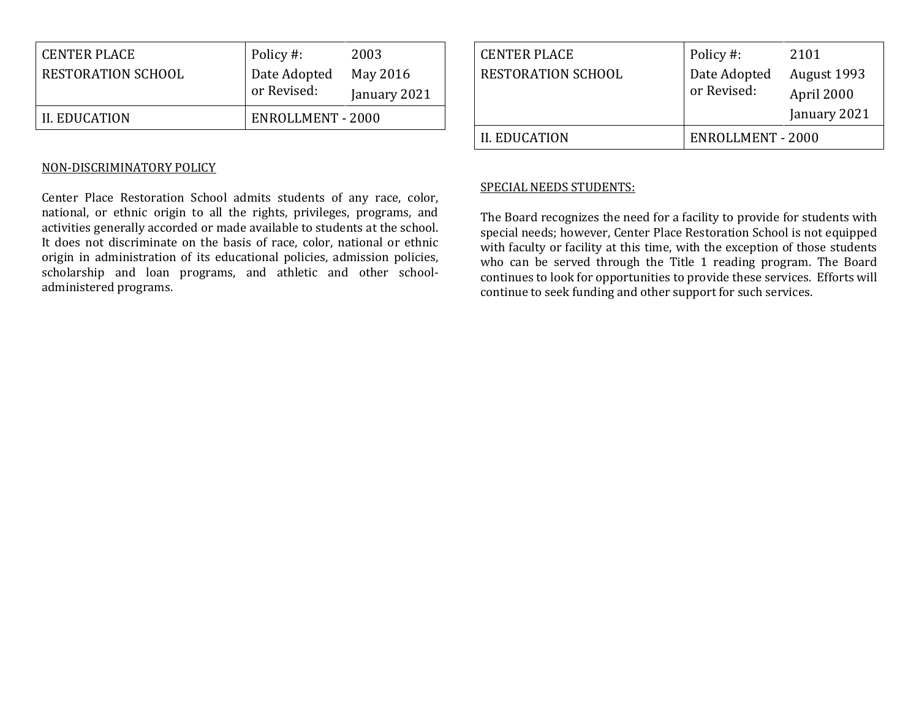| II. EDUCATION       | ENROLLMENT - 2000           |                          |
|---------------------|-----------------------------|--------------------------|
| RESTORATION SCHOOL  | Date Adopted<br>or Revised: | May 2016<br>January 2021 |
| <b>CENTER PLACE</b> | Policy #:                   | 2003                     |

#### NON-DISCRIMINATORY POLICY

Center Place Restoration School admits students of any race, color, national, or ethnic origin to all the rights, privileges, programs, and activities generally accorded or made available to students at the school. It does not discriminate on the basis of race, color, national or ethnic origin in administration of its educational policies, admission policies, scholarship and loan programs, and athletic and other schooladministered programs.

| <b>CENTER PLACE</b>       | Policy #:                | 2101         |
|---------------------------|--------------------------|--------------|
| <b>RESTORATION SCHOOL</b> | Date Adopted             | August 1993  |
|                           | or Revised:              | April 2000   |
|                           |                          | January 2021 |
| <b>II. EDUCATION</b>      | <b>ENROLLMENT - 2000</b> |              |

#### SPECIAL NEEDS STUDENTS:

The Board recognizes the need for a facility to provide for students with special needs; however, Center Place Restoration School is not equipped with faculty or facility at this time, with the exception of those students who can be served through the Title 1 reading program. The Board continues to look for opportunities to provide these services. Efforts will continue to seek funding and other support for such services.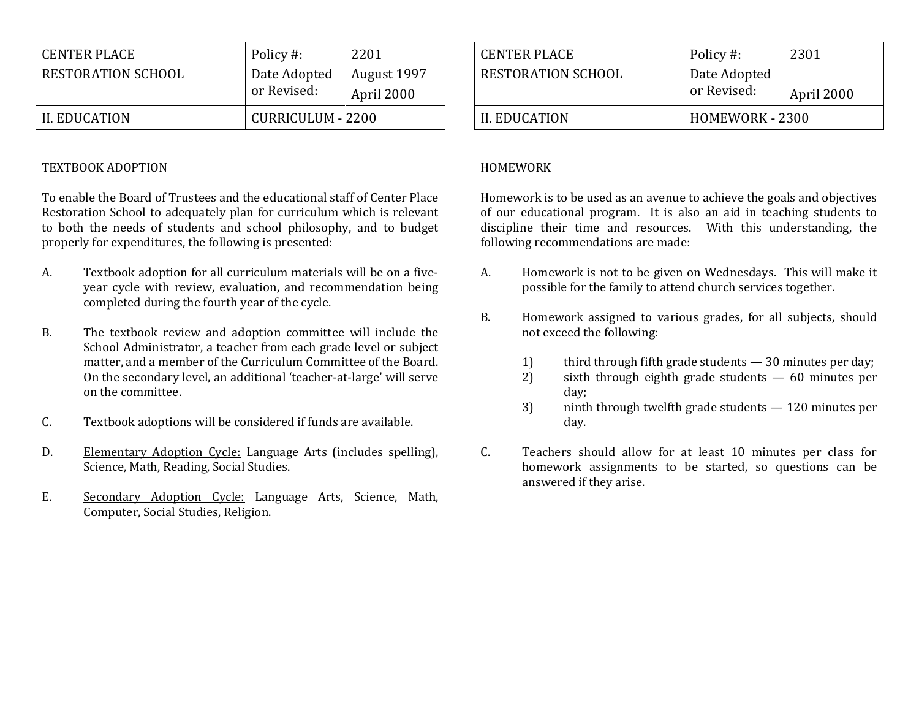| <b>CENTER PLACE</b> | Policy #:                   | 2201                      |
|---------------------|-----------------------------|---------------------------|
| RESTORATION SCHOOL  | Date Adopted<br>or Revised: | August 1997<br>April 2000 |
| II. EDUCATION       | CURRICULUM - 2200           |                           |

#### TEXTBOOK ADOPTION

To enable the Board of Trustees and the educational staff of Center Place Restoration School to adequately plan for curriculum which is relevant to both the needs of students and school philosophy, and to budget properly for expenditures, the following is presented:

- A. Textbook adoption for all curriculum materials will be on a fiveyear cycle with review, evaluation, and recommendation being completed during the fourth year of the cycle.
- B. The textbook review and adoption committee will include the School Administrator, a teacher from each grade level or subject matter, and a member of the Curriculum Committee of the Board. On the secondary level, an additional 'teacher-at-large' will serve on the committee.
- C. Textbook adoptions will be considered if funds are available.
- D. Elementary Adoption Cycle: Language Arts (includes spelling), Science, Math, Reading, Social Studies.
- E. Secondary Adoption Cycle: Language Arts, Science, Math, Computer, Social Studies, Religion.

| <b>CENTER PLACE</b>       | Policy #:                   | 2301       |
|---------------------------|-----------------------------|------------|
| <b>RESTORATION SCHOOL</b> | Date Adopted<br>or Revised: | April 2000 |
| II. EDUCATION             | HOMEWORK - 2300             |            |

#### HOMEWORK

Homework is to be used as an avenue to achieve the goals and objectives of our educational program. It is also an aid in teaching students to discipline their time and resources. With this understanding, the following recommendations are made:

- A. Homework is not to be given on Wednesdays. This will make it possible for the family to attend church services together.
- B. Homework assigned to various grades, for all subjects, should not exceed the following:
	- 1) third through fifth grade students 30 minutes per day;
	- 2) sixth through eighth grade students 60 minutes per day;
	- 3) ninth through twelfth grade students 120 minutes per day.
- C. Teachers should allow for at least 10 minutes per class for homework assignments to be started, so questions can be answered if they arise.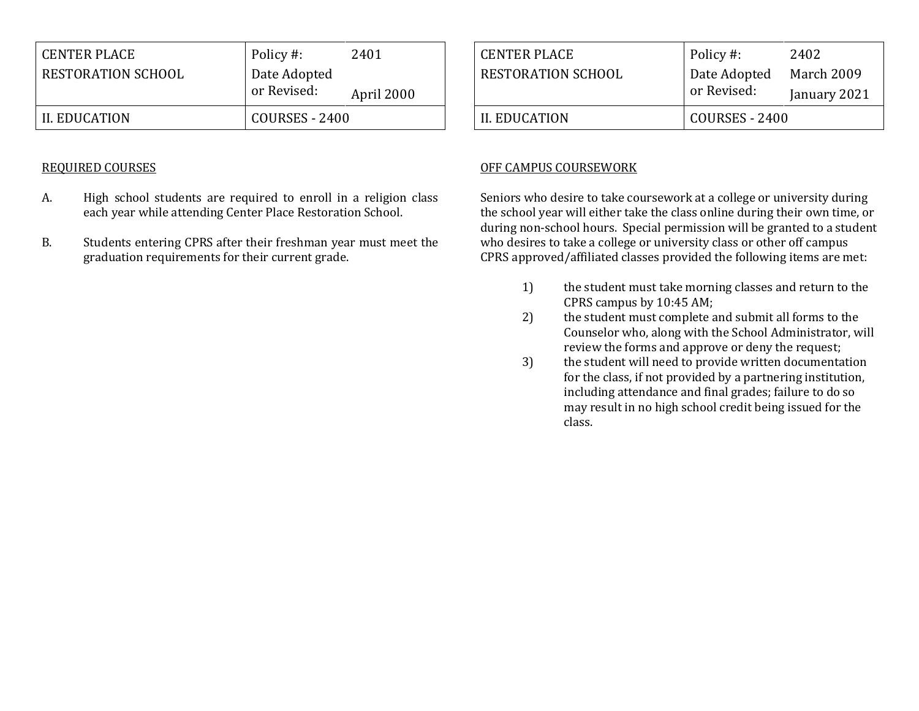| <b>CENTER PLACE</b> | Policy #:      | 2401       |
|---------------------|----------------|------------|
| RESTORATION SCHOOL  | Date Adopted   |            |
|                     | or Revised:    | April 2000 |
| II. EDUCATION       | COURSES - 2400 |            |

### REQUIRED COURSES

- A. High school students are required to enroll in a religion class each year while attending Center Place Restoration School.
- B. Students entering CPRS after their freshman year must meet the graduation requirements for their current grade.

| <b>CENTER PLACE</b> | Policy #:      | 2402         |
|---------------------|----------------|--------------|
| RESTORATION SCHOOL  | Date Adopted   | March 2009   |
|                     | or Revised:    | January 2021 |
| II. EDUCATION       | COURSES - 2400 |              |

## OFF CAMPUS COURSEWORK

Seniors who desire to take coursework at a college or university during the school year will either take the class online during their own time, or during non-school hours. Special permission will be granted to a student who desires to take a college or university class or other off campus CPRS approved/affiliated classes provided the following items are met:

- 1) the student must take morning classes and return to the CPRS campus by 10:45 AM;
- 2) the student must complete and submit all forms to the Counselor who, along with the School Administrator, will review the forms and approve or deny the request;
- 3) the student will need to provide written documentation for the class, if not provided by a partnering institution, including attendance and final grades; failure to do so may result in no high school credit being issued for the class.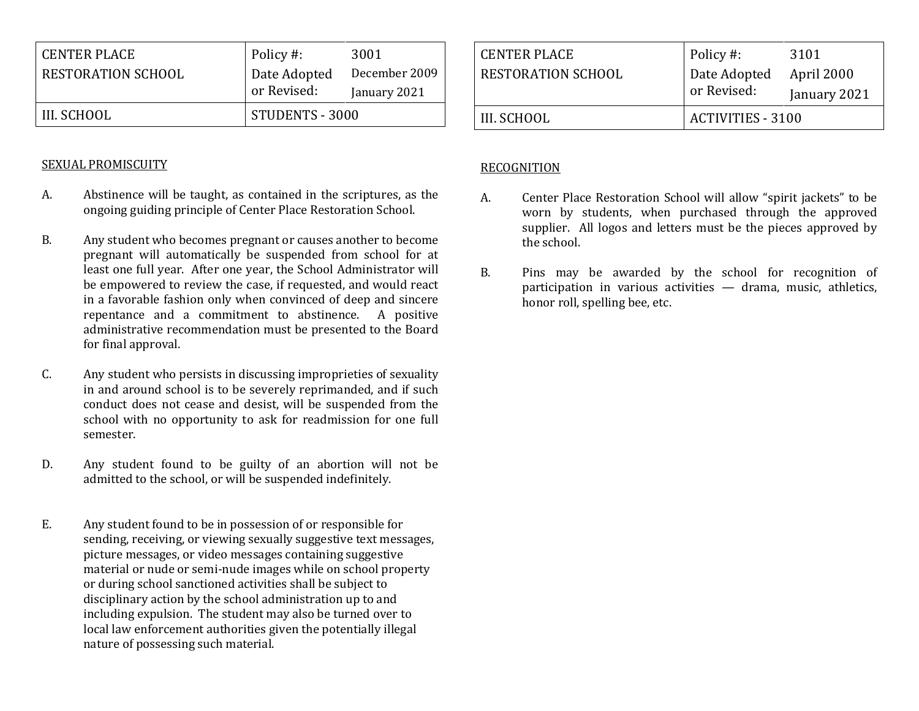| <b>CENTER PLACE</b>       | Policy #:       | 3001          |
|---------------------------|-----------------|---------------|
| <b>RESTORATION SCHOOL</b> | Date Adopted    | December 2009 |
|                           | or Revised:     | January 2021  |
| III. SCHOOL               | STUDENTS - 3000 |               |

### SEXUAL PROMISCUITY

- A. Abstinence will be taught, as contained in the scriptures, as the ongoing guiding principle of Center Place Restoration School.
- B. Any student who becomes pregnant or causes another to become pregnant will automatically be suspended from school for at least one full year. After one year, the School Administrator will be empowered to review the case, if requested, and would react in a favorable fashion only when convinced of deep and sincere repentance and a commitment to abstinence. A positive administrative recommendation must be presented to the Board for final approval.
- C. Any student who persists in discussing improprieties of sexuality in and around school is to be severely reprimanded, and if such conduct does not cease and desist, will be suspended from the school with no opportunity to ask for readmission for one full semester.
- D. Any student found to be guilty of an abortion will not be admitted to the school, or will be suspended indefinitely.
- E. Any student found to be in possession of or responsible for sending, receiving, or viewing sexually suggestive text messages, picture messages, or video messages containing suggestive material or nude or semi-nude images while on school property or during school sanctioned activities shall be subject to disciplinary action by the school administration up to and including expulsion. The student may also be turned over to local law enforcement authorities given the potentially illegal nature of possessing such material.

| <b>CENTER PLACE</b> | Policy #:                | 3101         |
|---------------------|--------------------------|--------------|
| RESTORATION SCHOOL  | Date Adopted             | April 2000   |
|                     | or Revised:              | January 2021 |
| III. SCHOOL         | <b>ACTIVITIES - 3100</b> |              |

### RECOGNITION

- A. Center Place Restoration School will allow "spirit jackets" to be worn by students, when purchased through the approved supplier. All logos and letters must be the pieces approved by the school.
- B. Pins may be awarded by the school for recognition of participation in various activities — drama, music, athletics, honor roll, spelling bee, etc.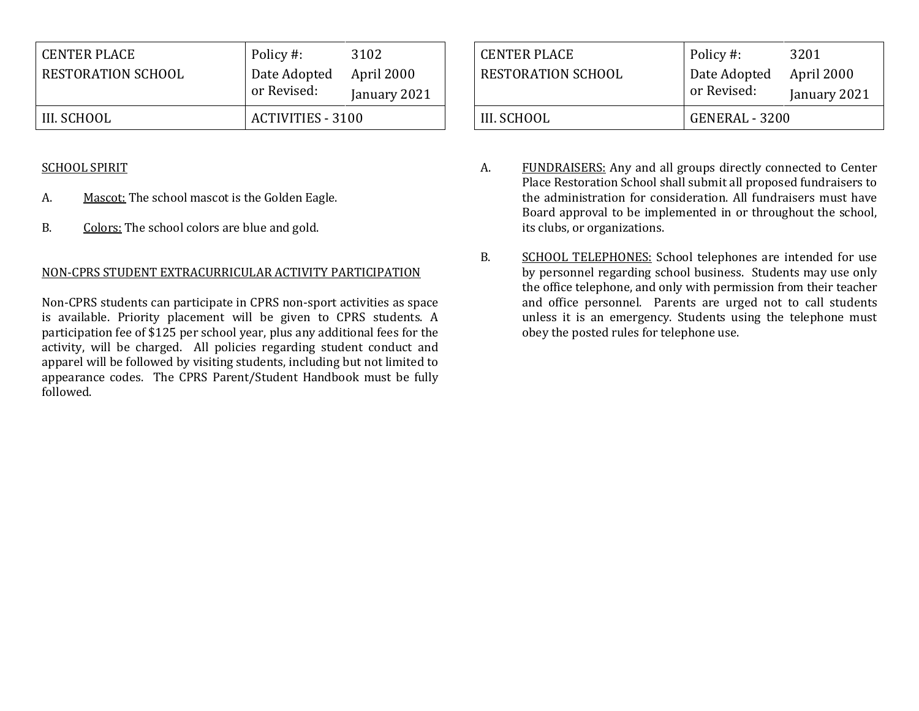| <b>CENTER PLACE</b> | Policy #:                | 3102         |
|---------------------|--------------------------|--------------|
| RESTORATION SCHOOL  | Date Adopted             | April 2000   |
|                     | or Revised:              | January 2021 |
| III. SCHOOL         | <b>ACTIVITIES - 3100</b> |              |

### SCHOOL SPIRIT

- A. Mascot: The school mascot is the Golden Eagle.
- B. Colors: The school colors are blue and gold.

## NON-CPRS STUDENT EXTRACURRICULAR ACTIVITY PARTICIPATION

Non-CPRS students can participate in CPRS non-sport activities as space is available. Priority placement will be given to CPRS students. A participation fee of \$125 per school year, plus any additional fees for the activity, will be charged. All policies regarding student conduct and apparel will be followed by visiting students, including but not limited to appearance codes. The CPRS Parent/Student Handbook must be fully followed.

| <b>CENTER PLACE</b>       | Policy #:      | 3201         |
|---------------------------|----------------|--------------|
| <b>RESTORATION SCHOOL</b> | Date Adopted   | April 2000   |
|                           | or Revised:    | January 2021 |
| III. SCHOOL               | GENERAL - 3200 |              |

- A. FUNDRAISERS: Any and all groups directly connected to Center Place Restoration School shall submit all proposed fundraisers to the administration for consideration. All fundraisers must have Board approval to be implemented in or throughout the school, its clubs, or organizations.
- B. SCHOOL TELEPHONES: School telephones are intended for use by personnel regarding school business. Students may use only the office telephone, and only with permission from their teacher and office personnel. Parents are urged not to call students unless it is an emergency. Students using the telephone must obey the posted rules for telephone use.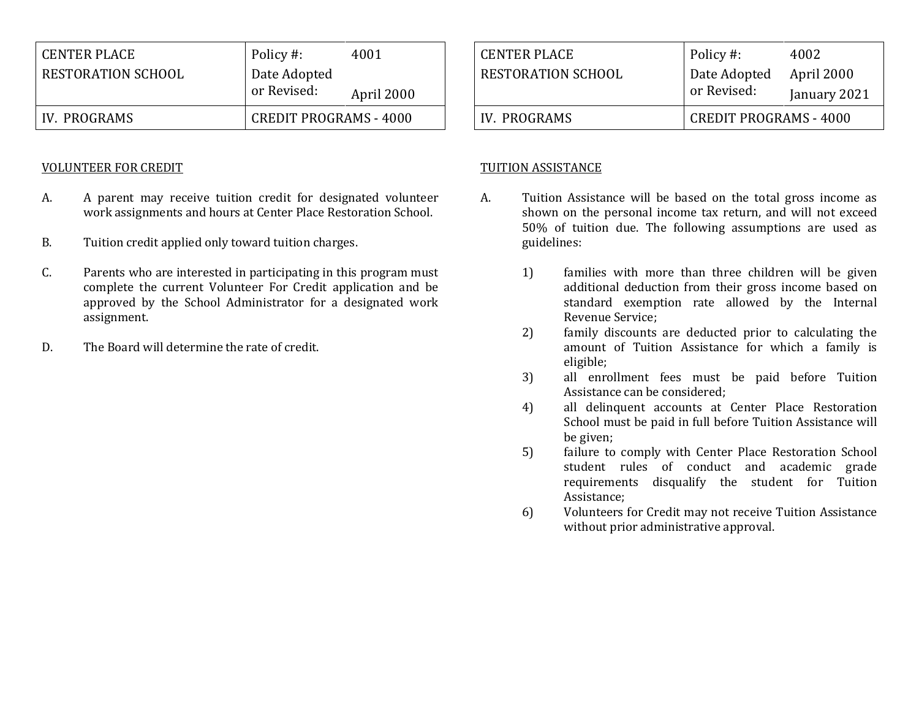| <b>CENTER PLACE</b> | Policy #:                     | 4001       |
|---------------------|-------------------------------|------------|
| RESTORATION SCHOOL  | Date Adopted                  |            |
|                     | or Revised:                   | April 2000 |
| IV. PROGRAMS        | <b>CREDIT PROGRAMS - 4000</b> |            |

#### VOLUNTEER FOR CREDIT

- A. A parent may receive tuition credit for designated volunteer work assignments and hours at Center Place Restoration School.
- B. Tuition credit applied only toward tuition charges.
- C. Parents who are interested in participating in this program must complete the current Volunteer For Credit application and be approved by the School Administrator for a designated work assignment.
- D. The Board will determine the rate of credit.

| <b>CENTER PLACE</b>       | Policy #:                     | 4002         |
|---------------------------|-------------------------------|--------------|
| <b>RESTORATION SCHOOL</b> | Date Adopted                  | April 2000   |
|                           | or Revised:                   | January 2021 |
| IV. PROGRAMS              | <b>CREDIT PROGRAMS - 4000</b> |              |

#### TUITION ASSISTANCE

- A. Tuition Assistance will be based on the total gross income as shown on the personal income tax return, and will not exceed 50% of tuition due. The following assumptions are used as guidelines:
	- 1) families with more than three children will be given additional deduction from their gross income based on standard exemption rate allowed by the Internal Revenue Service;
	- 2) family discounts are deducted prior to calculating the amount of Tuition Assistance for which a family is eligible;
	- 3) all enrollment fees must be paid before Tuition Assistance can be considered;
	- 4) all delinquent accounts at Center Place Restoration School must be paid in full before Tuition Assistance will be given;
	- 5) failure to comply with Center Place Restoration School student rules of conduct and academic grade requirements disqualify the student for Tuition Assistance;
	- 6) Volunteers for Credit may not receive Tuition Assistance without prior administrative approval.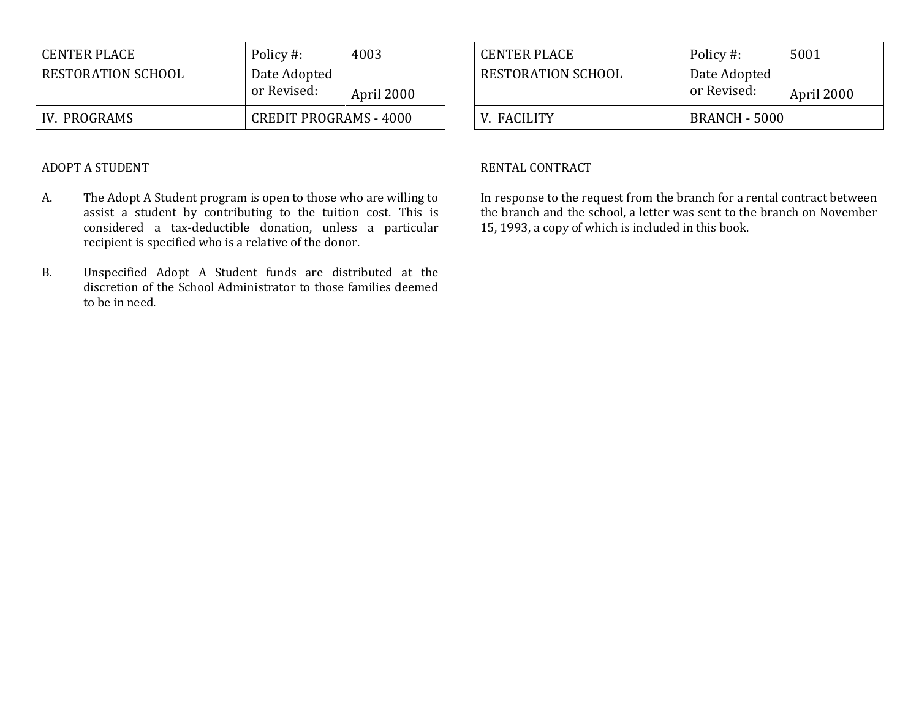| <b>CENTER PLACE</b> | Policy #:                     | 4003       |
|---------------------|-------------------------------|------------|
| RESTORATION SCHOOL  | Date Adopted                  |            |
|                     | or Revised:                   | April 2000 |
| IV. PROGRAMS        | <b>CREDIT PROGRAMS - 4000</b> |            |

#### ADOPT A STUDENT

- A. The Adopt A Student program is open to those who are willing to assist a student by contributing to the tuition cost. This is considered a tax-deductible donation, unless a particular recipient is specified who is a relative of the donor.
- B. Unspecified Adopt A Student funds are distributed at the discretion of the School Administrator to those families deemed to be in need.

| <b>CENTER PLACE</b>       | Policy #:                   | 5001       |
|---------------------------|-----------------------------|------------|
| <b>RESTORATION SCHOOL</b> | Date Adopted<br>or Revised: | April 2000 |
| V. FACILITY               | BRANCH - 5000               |            |

#### RENTAL CONTRACT

In response to the request from the branch for a rental contract between the branch and the school, a letter was sent to the branch on November 15, 1993, a copy of which is included in this book.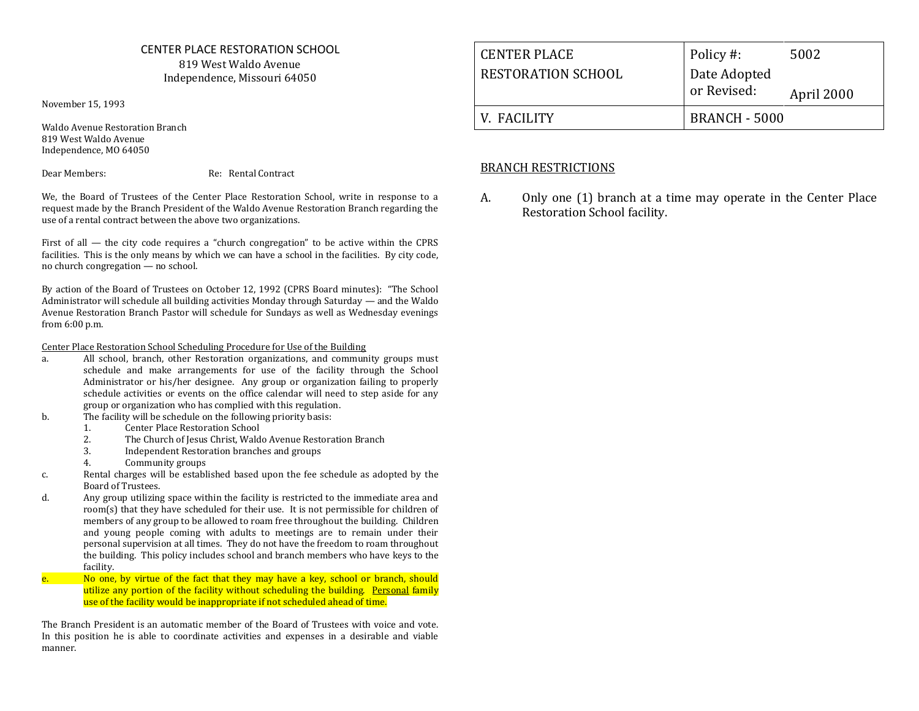#### CENTER PLACE RESTORATION SCHOOL 819 West Waldo Avenue Independence, Missouri 64050

November 15, 1993

Waldo Avenue Restoration Branch 819 West Waldo Avenue Independence, MO 64050

Dear Members: Re: Rental Contract

We, the Board of Trustees of the Center Place Restoration School, write in response to a request made by the Branch President of the Waldo Avenue Restoration Branch regarding the use of a rental contract between the above two organizations.

First of all — the city code requires a "church congregation" to be active within the CPRS facilities. This is the only means by which we can have a school in the facilities. By city code, no church congregation — no school.

By action of the Board of Trustees on October 12, 1992 (CPRS Board minutes): "The School Administrator will schedule all building activities Monday through Saturday — and the Waldo Avenue Restoration Branch Pastor will schedule for Sundays as well as Wednesday evenings from 6:00 p.m.

Center Place Restoration School Scheduling Procedure for Use of the Building

- a. All school, branch, other Restoration organizations, and community groups must schedule and make arrangements for use of the facility through the School Administrator or his/her designee. Any group or organization failing to properly schedule activities or events on the office calendar will need to step aside for any group or organization who has complied with this regulation.
- b. The facility will be schedule on the following priority basis:
	- 1. Center Place Restoration School
	- 2. The Church of Jesus Christ, Waldo Avenue Restoration Branch<br>3. Independent Restoration branches and groups
	- 3. Independent Restoration branches and groups
	- 4. Community groups
- c. Rental charges will be established based upon the fee schedule as adopted by the Board of Trustees.
- d. Any group utilizing space within the facility is restricted to the immediate area and room(s) that they have scheduled for their use. It is not permissible for children of members of any group to be allowed to roam free throughout the building. Children and young people coming with adults to meetings are to remain under their personal supervision at all times. They do not have the freedom to roam throughout the building. This policy includes school and branch members who have keys to the facility.
- e. No one, by virtue of the fact that they may have a key, school or branch, should utilize any portion of the facility without scheduling the building. Personal family use of the facility would be inappropriate if not scheduled ahead of time.

The Branch President is an automatic member of the Board of Trustees with voice and vote. In this position he is able to coordinate activities and expenses in a desirable and viable manner.

| <b>CENTER PLACE</b> | Policy #:                   | 5002       |
|---------------------|-----------------------------|------------|
| RESTORATION SCHOOL  | Date Adopted<br>or Revised: | April 2000 |
| V FACILITY          | <b>BRANCH - 5000</b>        |            |

#### BRANCH RESTRICTIONS

A. Only one (1) branch at a time may operate in the Center Place Restoration School facility.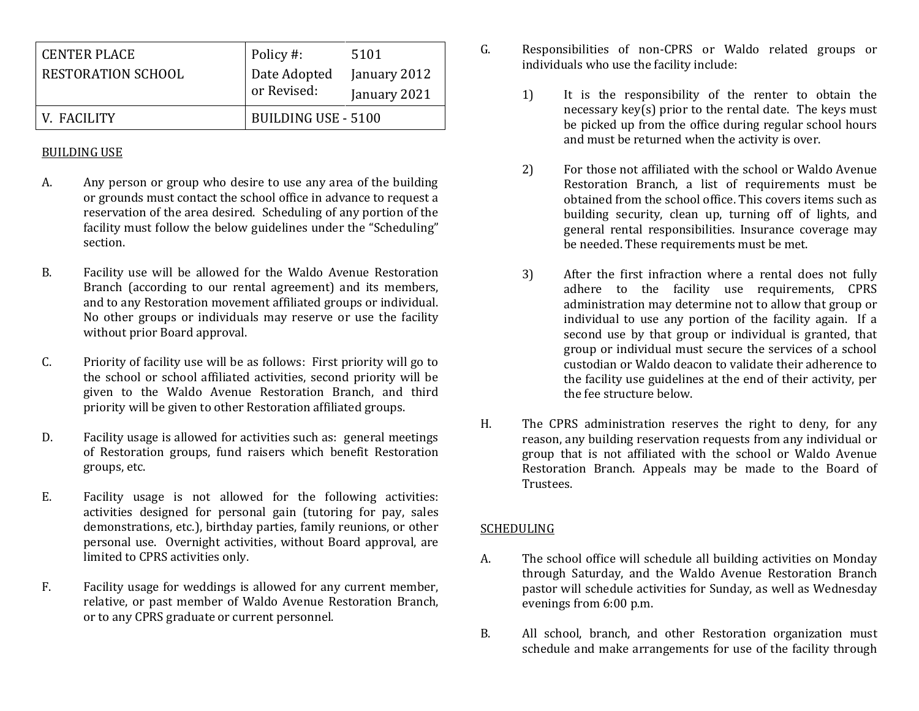| <b>CENTER PLACE</b>       | Policy #:           | 5101         |
|---------------------------|---------------------|--------------|
| <b>RESTORATION SCHOOL</b> | Date Adopted        | January 2012 |
|                           | or Revised:         | January 2021 |
| V. FACILITY               | BUILDING USE - 5100 |              |

### BUILDING USE

- A. Any person or group who desire to use any area of the building or grounds must contact the school office in advance to request a reservation of the area desired. Scheduling of any portion of the facility must follow the below guidelines under the "Scheduling" section.
- B. Facility use will be allowed for the Waldo Avenue Restoration Branch (according to our rental agreement) and its members, and to any Restoration movement affiliated groups or individual. No other groups or individuals may reserve or use the facility without prior Board approval.
- C. Priority of facility use will be as follows: First priority will go to the school or school affiliated activities, second priority will be given to the Waldo Avenue Restoration Branch, and third priority will be given to other Restoration affiliated groups.
- D. Facility usage is allowed for activities such as: general meetings of Restoration groups, fund raisers which benefit Restoration groups, etc.
- E. Facility usage is not allowed for the following activities: activities designed for personal gain (tutoring for pay, sales demonstrations, etc.), birthday parties, family reunions, or other personal use. Overnight activities, without Board approval, are limited to CPRS activities only.
- F. Facility usage for weddings is allowed for any current member, relative, or past member of Waldo Avenue Restoration Branch, or to any CPRS graduate or current personnel.
- G. Responsibilities of non-CPRS or Waldo related groups or individuals who use the facility include:
	- 1) It is the responsibility of the renter to obtain the necessary key(s) prior to the rental date. The keys must be picked up from the office during regular school hours and must be returned when the activity is over.
	- 2) For those not affiliated with the school or Waldo Avenue Restoration Branch, a list of requirements must be obtained from the school office. This covers items such as building security, clean up, turning off of lights, and general rental responsibilities. Insurance coverage may be needed. These requirements must be met.
	- 3) After the first infraction where a rental does not fully adhere to the facility use requirements, CPRS administration may determine not to allow that group or individual to use any portion of the facility again. If a second use by that group or individual is granted, that group or individual must secure the services of a school custodian or Waldo deacon to validate their adherence to the facility use guidelines at the end of their activity, per the fee structure below.
- H. The CPRS administration reserves the right to deny, for any reason, any building reservation requests from any individual or group that is not affiliated with the school or Waldo Avenue Restoration Branch. Appeals may be made to the Board of Trustees.

#### SCHEDULING

- A. The school office will schedule all building activities on Monday through Saturday, and the Waldo Avenue Restoration Branch pastor will schedule activities for Sunday, as well as Wednesday evenings from 6:00 p.m.
- B. All school, branch, and other Restoration organization must schedule and make arrangements for use of the facility through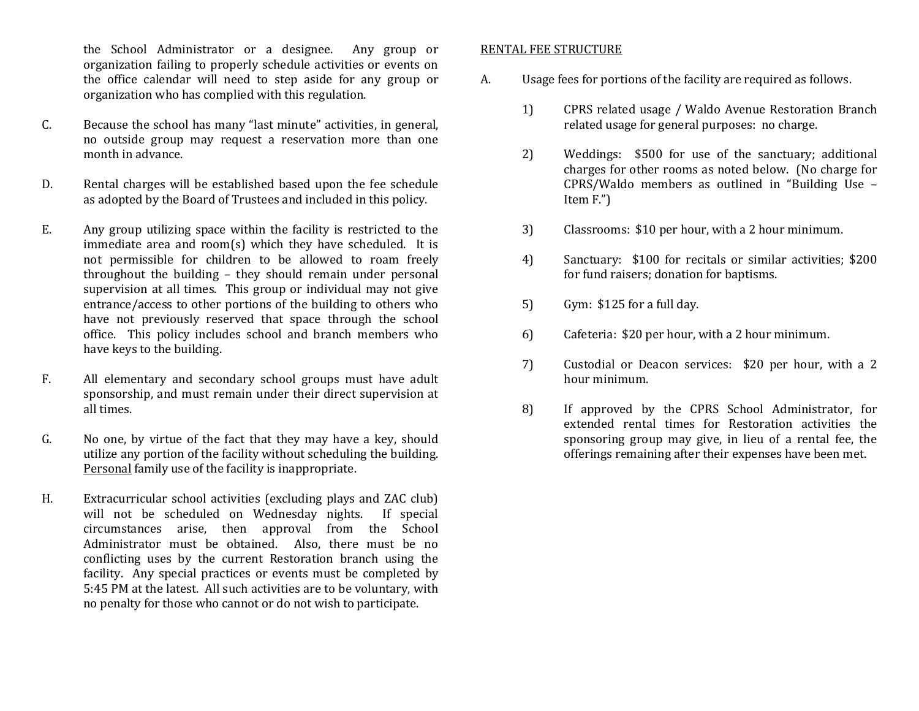the School Administrator or a designee. Any group or organization failing to properly schedule activities or events on the office calendar will need to step aside for any group or organization who has complied with this regulation.

- C. Because the school has many "last minute" activities, in general, no outside group may request a reservation more than one month in advance.
- D. Rental charges will be established based upon the fee schedule as adopted by the Board of Trustees and included in this policy.
- E. Any group utilizing space within the facility is restricted to the immediate area and room(s) which they have scheduled. It is not permissible for children to be allowed to roam freely throughout the building – they should remain under personal supervision at all times. This group or individual may not give entrance/access to other portions of the building to others who have not previously reserved that space through the school office. This policy includes school and branch members who have keys to the building.
- F. All elementary and secondary school groups must have adult sponsorship, and must remain under their direct supervision at all times.
- G. No one, by virtue of the fact that they may have a key, should utilize any portion of the facility without scheduling the building. Personal family use of the facility is inappropriate.
- H. Extracurricular school activities (excluding plays and ZAC club) will not be scheduled on Wednesday nights. If special circumstances arise, then approval from the School Administrator must be obtained. Also, there must be no conflicting uses by the current Restoration branch using the facility. Any special practices or events must be completed by 5:45 PM at the latest. All such activities are to be voluntary, with no penalty for those who cannot or do not wish to participate.

#### RENTAL FEE STRUCTURE

- A. Usage fees for portions of the facility are required as follows.
	- 1) CPRS related usage / Waldo Avenue Restoration Branch related usage for general purposes: no charge.
	- 2) Weddings: \$500 for use of the sanctuary; additional charges for other rooms as noted below. (No charge for CPRS/Waldo members as outlined in "Building Use – Item F.")
	- 3) Classrooms: \$10 per hour, with a 2 hour minimum.
	- 4) Sanctuary: \$100 for recitals or similar activities; \$200 for fund raisers; donation for baptisms.
	- 5) Gym: \$125 for a full day.
	- 6) Cafeteria: \$20 per hour, with a 2 hour minimum.
	- 7) Custodial or Deacon services: \$20 per hour, with a 2 hour minimum.
	- 8) If approved by the CPRS School Administrator, for extended rental times for Restoration activities the sponsoring group may give, in lieu of a rental fee, the offerings remaining after their expenses have been met.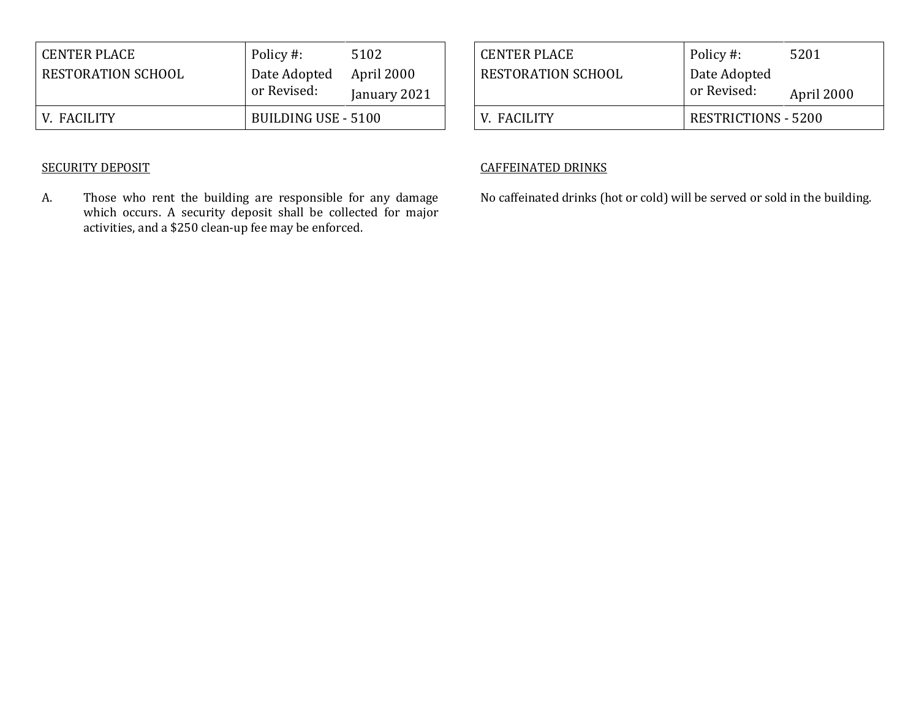| <b>CENTER PLACE</b> | Policy #:           | 5102         |
|---------------------|---------------------|--------------|
| RESTORATION SCHOOL  | Date Adopted        | April 2000   |
|                     | or Revised:         | January 2021 |
| V. FACILITY         | BUILDING USE - 5100 |              |

# SECURITY DEPOSIT

A. Those who rent the building are responsible for any damage which occurs. A security deposit shall be collected for major activities, and a \$250 clean-up fee may be enforced.

| <b>CENTER PLACE</b> | Policy #:                   | 5201       |
|---------------------|-----------------------------|------------|
| RESTORATION SCHOOL  | Date Adopted<br>or Revised: | April 2000 |
| V. FACILITY         | <b>RESTRICTIONS - 5200</b>  |            |

### CAFFEINATED DRINKS

No caffeinated drinks (hot or cold) will be served or sold in the building.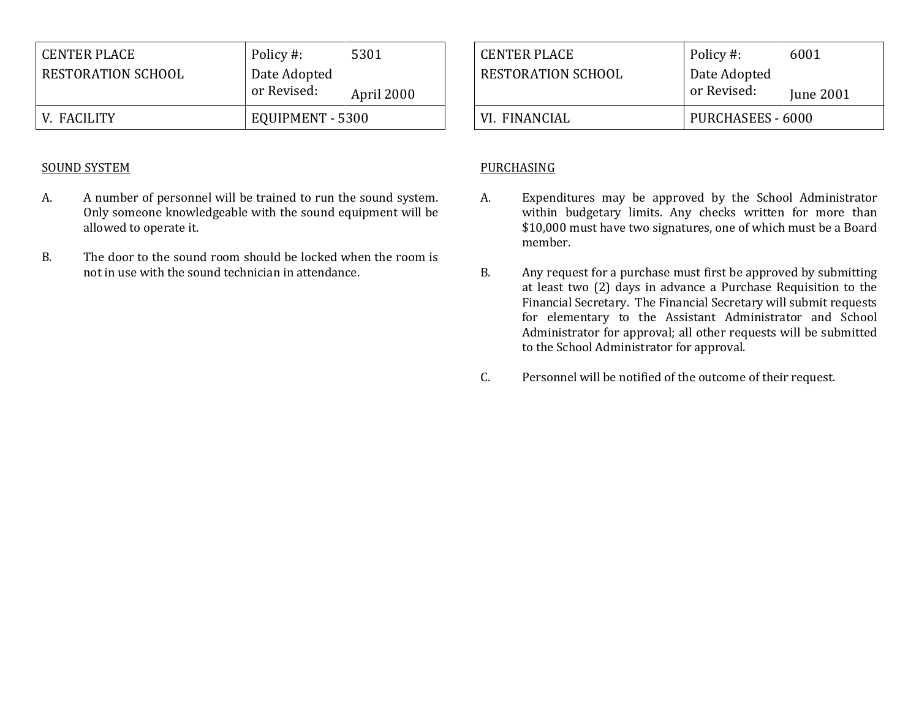| <b>CENTER PLACE</b>       | Policy #:        | 5301       |
|---------------------------|------------------|------------|
| <b>RESTORATION SCHOOL</b> | Date Adopted     |            |
|                           | or Revised:      | April 2000 |
| V. FACILITY               | EQUIPMENT - 5300 |            |

#### SOUND SYSTEM

- A. A number of personnel will be trained to run the sound system. Only someone knowledgeable with the sound equipment will be allowed to operate it.
- B. The door to the sound room should be locked when the room is not in use with the sound technician in attendance.

| <b>CENTER PLACE</b> | Policy #:         | 6001      |
|---------------------|-------------------|-----------|
| RESTORATION SCHOOL  | Date Adopted      |           |
|                     | or Revised:       | June 2001 |
| VI. FINANCIAL       | PURCHASEES - 6000 |           |

#### PURCHASING

- A. Expenditures may be approved by the School Administrator within budgetary limits. Any checks written for more than \$10,000 must have two signatures, one of which must be a Board member.
- B. Any request for a purchase must first be approved by submitting at least two (2) days in advance a Purchase Requisition to the Financial Secretary. The Financial Secretary will submit requests for elementary to the Assistant Administrator and School Administrator for approval; all other requests will be submitted to the School Administrator for approval.
- C. Personnel will be notified of the outcome of their request.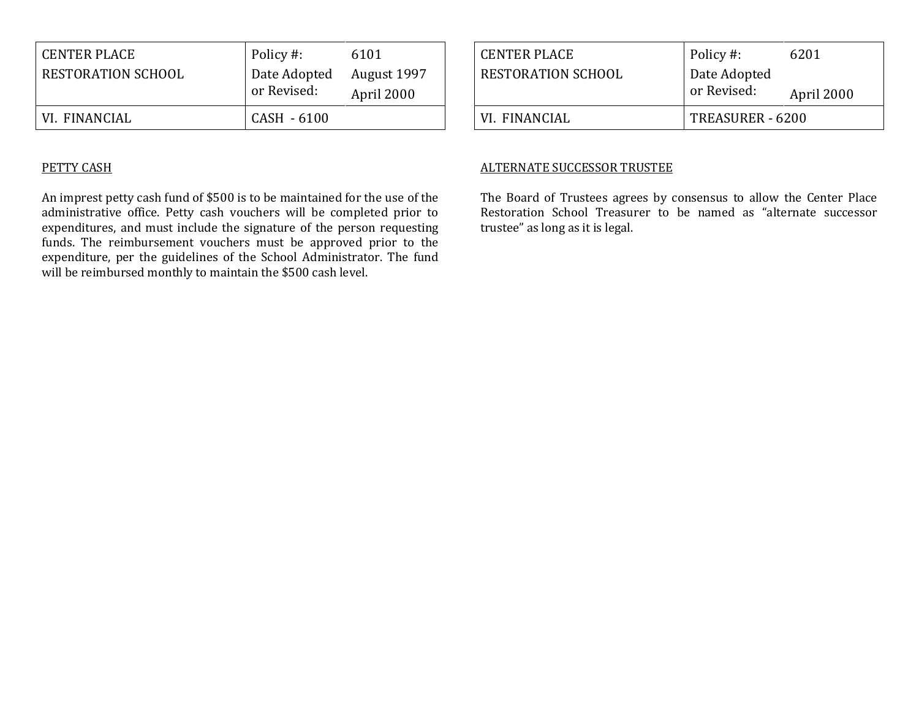| <b>CENTER PLACE</b> | Policy #:                   | 6101                      |
|---------------------|-----------------------------|---------------------------|
| RESTORATION SCHOOL  | Date Adopted<br>or Revised: | August 1997<br>April 2000 |
| VI. FINANCIAL       | CASH - 6100                 |                           |

### PETTY CASH

An imprest petty cash fund of \$500 is to be maintained for the use of the administrative office. Petty cash vouchers will be completed prior to expenditures, and must include the signature of the person requesting funds. The reimbursement vouchers must be approved prior to the expenditure, per the guidelines of the School Administrator. The fund will be reimbursed monthly to maintain the \$500 cash level.

| <b>CENTER PLACE</b>       | Policy #:                   | 6201       |
|---------------------------|-----------------------------|------------|
| <b>RESTORATION SCHOOL</b> | Date Adopted<br>or Revised: | April 2000 |
| VI. FINANCIAL             | TREASURER - 6200            |            |

#### ALTERNATE SUCCESSOR TRUSTEE

The Board of Trustees agrees by consensus to allow the Center Place Restoration School Treasurer to be named as "alternate successor trustee" as long as it is legal.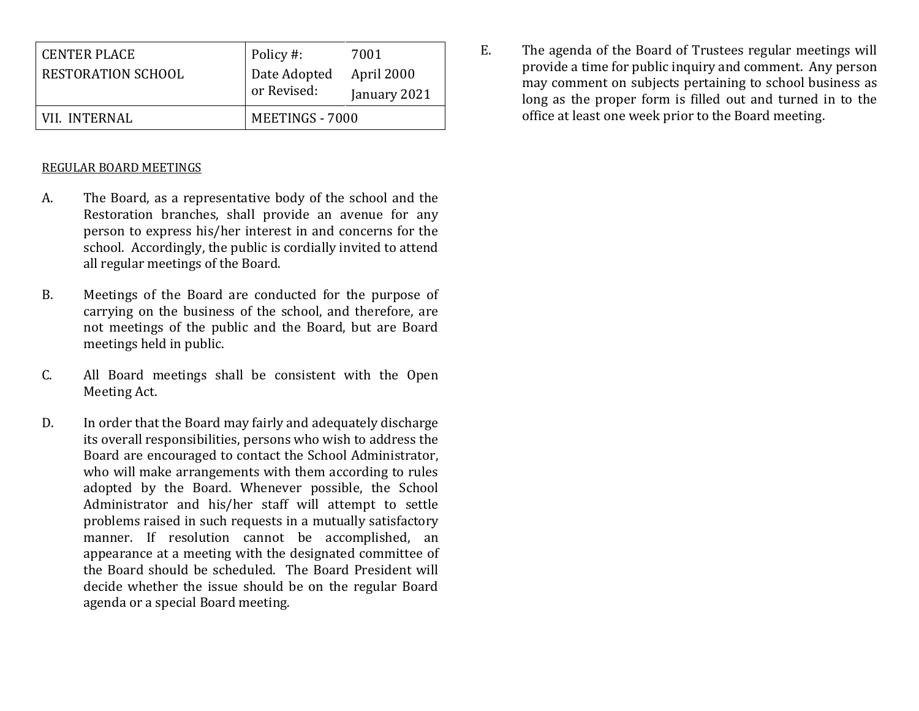| <b>CENTER PLACE</b>       | Policy #:       | 7001         |
|---------------------------|-----------------|--------------|
| <b>RESTORATION SCHOOL</b> | Date Adopted    | April 2000   |
|                           | or Revised:     | January 2021 |
| VII. INTERNAL             | MEETINGS - 7000 |              |

### REGULAR BOARD MEETINGS

- A. The Board, as a representative body of the school and the Restoration branches, shall provide an avenue for any person to express his/her interest in and concerns for the school. Accordingly, the public is cordially invited to attend all regular meetings of the Board.
- B. Meetings of the Board are conducted for the purpose of carrying on the business of the school, and therefore, are not meetings of the public and the Board, but are Board meetings held in public.
- C. All Board meetings shall be consistent with the Open Meeting Act.
- D. In order that the Board may fairly and adequately discharge its overall responsibilities, persons who wish to address the Board are encouraged to contact the School Administrator, who will make arrangements with them according to rules adopted by the Board. Whenever possible, the School Administrator and his/her staff will attempt to settle problems raised in such requests in a mutually satisfactory manner. If resolution cannot be accomplished, an appearance at a meeting with the designated committee of the Board should be scheduled. The Board President will decide whether the issue should be on the regular Board agenda or a special Board meeting.

E. The agenda of the Board of Trustees regular meetings will provide a time for public inquiry and comment. Any person may comment on subjects pertaining to school business as long as the proper form is filled out and turned in to the office at least one week prior to the Board meeting.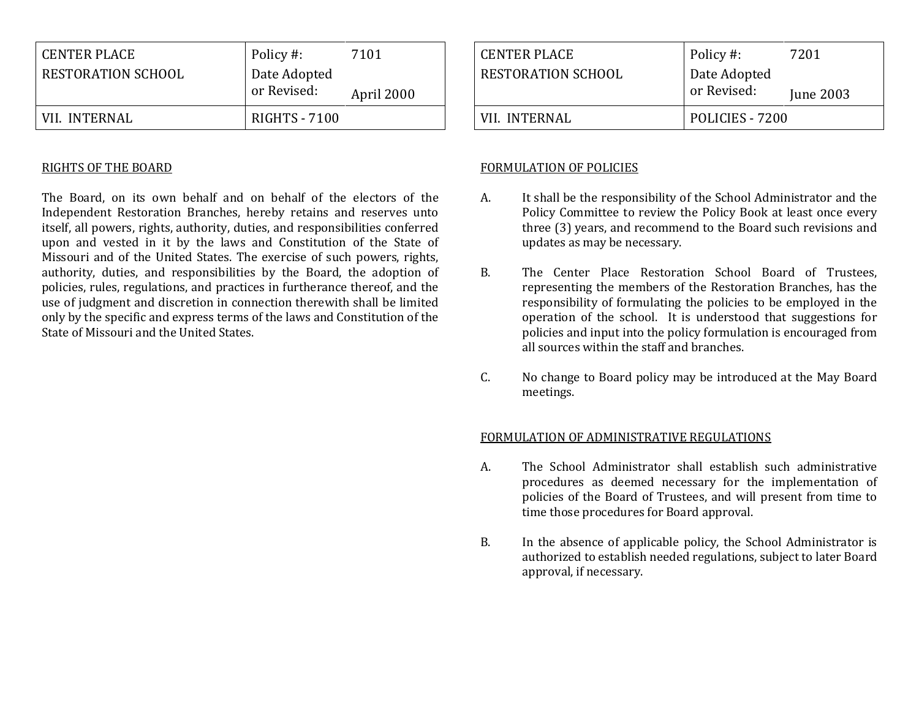| <b>CENTER PLACE</b>       | Policy #:            | 7101       |
|---------------------------|----------------------|------------|
| <b>RESTORATION SCHOOL</b> | Date Adopted         |            |
|                           | or Revised:          | April 2000 |
| VII. INTERNAL             | <b>RIGHTS - 7100</b> |            |

#### RIGHTS OF THE BOARD

The Board, on its own behalf and on behalf of the electors of the Independent Restoration Branches, hereby retains and reserves unto itself, all powers, rights, authority, duties, and responsibilities conferred upon and vested in it by the laws and Constitution of the State of Missouri and of the United States. The exercise of such powers, rights, authority, duties, and responsibilities by the Board, the adoption of policies, rules, regulations, and practices in furtherance thereof, and the use of judgment and discretion in connection therewith shall be limited only by the specific and express terms of the laws and Constitution of the State of Missouri and the United States.

| <b>CENTER PLACE</b> | Policy #:       | 7201      |
|---------------------|-----------------|-----------|
| RESTORATION SCHOOL  | Date Adopted    |           |
|                     | or Revised:     | June 2003 |
| VII. INTERNAL       | POLICIES - 7200 |           |

### FORMULATION OF POLICIES

- A. It shall be the responsibility of the School Administrator and the Policy Committee to review the Policy Book at least once every three (3) years, and recommend to the Board such revisions and updates as may be necessary.
- B. The Center Place Restoration School Board of Trustees, representing the members of the Restoration Branches, has the responsibility of formulating the policies to be employed in the operation of the school. It is understood that suggestions for policies and input into the policy formulation is encouraged from all sources within the staff and branches.
- C. No change to Board policy may be introduced at the May Board meetings.

#### FORMULATION OF ADMINISTRATIVE REGULATIONS

- A. The School Administrator shall establish such administrative procedures as deemed necessary for the implementation of policies of the Board of Trustees, and will present from time to time those procedures for Board approval.
- B. In the absence of applicable policy, the School Administrator is authorized to establish needed regulations, subject to later Board approval, if necessary.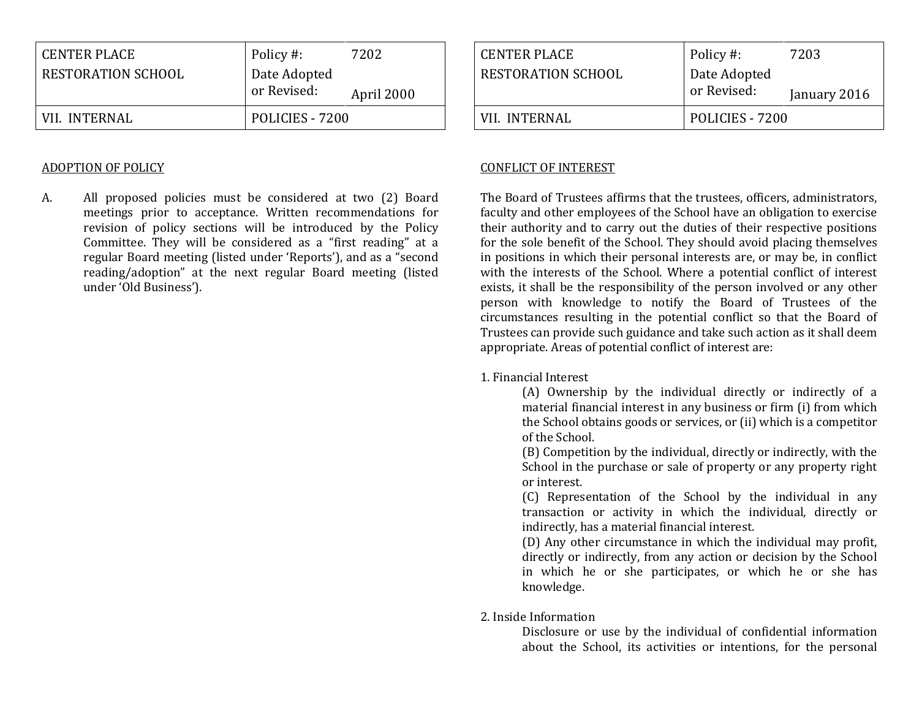| RESTORATION SCHOOL | Date Adopted<br>or Revised: | April 2000 |
|--------------------|-----------------------------|------------|
| VII. INTERNAL      | POLICIES - 7200             |            |

#### ADOPTION OF POLICY

A. All proposed policies must be considered at two (2) Board meetings prior to acceptance. Written recommendations for revision of policy sections will be introduced by the Policy Committee. They will be considered as a "first reading" at a regular Board meeting (listed under 'Reports'), and as a "second reading/adoption" at the next regular Board meeting (listed under 'Old Business').

| <b>CENTER PLACE</b> | Policy #:                   | 7203         |
|---------------------|-----------------------------|--------------|
| RESTORATION SCHOOL  | Date Adopted<br>or Revised: | January 2016 |
|                     |                             |              |
| VII. INTERNAL       | POLICIES - 7200             |              |

### CONFLICT OF INTEREST

The Board of Trustees affirms that the trustees, officers, administrators, faculty and other employees of the School have an obligation to exercise their authority and to carry out the duties of their respective positions for the sole benefit of the School. They should avoid placing themselves in positions in which their personal interests are, or may be, in conflict with the interests of the School. Where a potential conflict of interest exists, it shall be the responsibility of the person involved or any other person with knowledge to notify the Board of Trustees of the circumstances resulting in the potential conflict so that the Board of Trustees can provide such guidance and take such action as it shall deem appropriate. Areas of potential conflict of interest are:

1. Financial Interest

(A) Ownership by the individual directly or indirectly of a material financial interest in any business or firm (i) from which the School obtains goods or services, or (ii) which is a competitor of the School.

(B) Competition by the individual, directly or indirectly, with the School in the purchase or sale of property or any property right or interest.

(C) Representation of the School by the individual in any transaction or activity in which the individual, directly or indirectly, has a material financial interest.

(D) Any other circumstance in which the individual may profit, directly or indirectly, from any action or decision by the School in which he or she participates, or which he or she has knowledge.

2. Inside Information

Disclosure or use by the individual of confidential information about the School, its activities or intentions, for the personal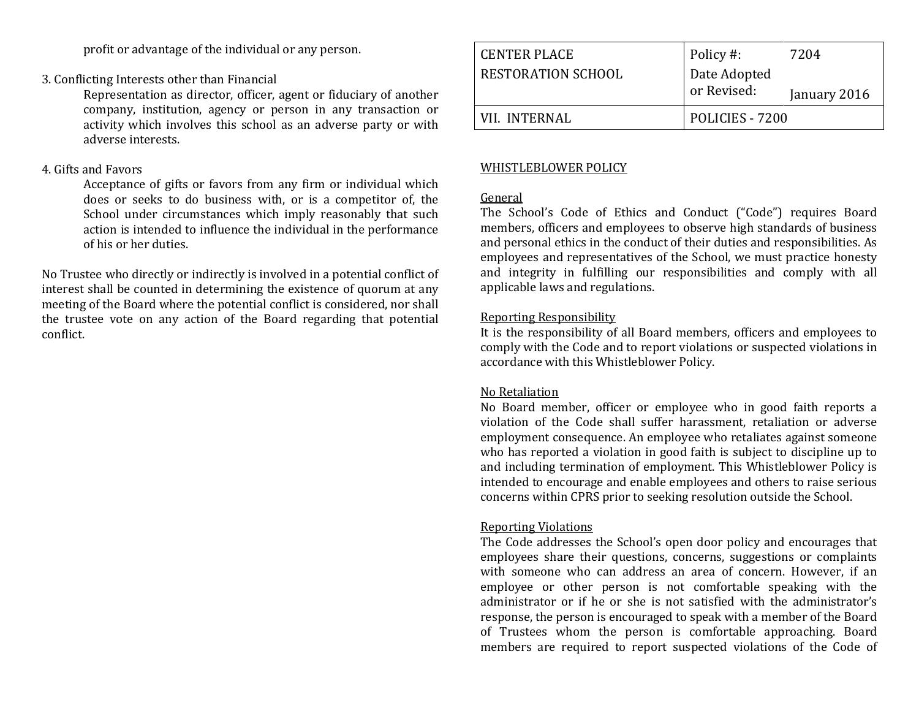profit or advantage of the individual or any person.

# 3. Conflicting Interests other than Financial

Representation as director, officer, agent or fiduciary of another company, institution, agency or person in any transaction or activity which involves this school as an adverse party or with adverse interests.

### 4. Gifts and Favors

Acceptance of gifts or favors from any firm or individual which does or seeks to do business with, or is a competitor of, the School under circumstances which imply reasonably that such action is intended to influence the individual in the performance of his or her duties.

No Trustee who directly or indirectly is involved in a potential conflict of interest shall be counted in determining the existence of quorum at any meeting of the Board where the potential conflict is considered, nor shall the trustee vote on any action of the Board regarding that potential conflict.

| <b>CENTER PLACE</b><br>RESTORATION SCHOOL | Policy #:<br>Date Adopted<br>or Revised: | 7204<br>January 2016 |
|-------------------------------------------|------------------------------------------|----------------------|
| VII. INTERNAL                             | POLICIES - 7200                          |                      |

# WHISTLEBLOWER POLICY

### General

The School's Code of Ethics and Conduct ("Code") requires Board members, officers and employees to observe high standards of business and personal ethics in the conduct of their duties and responsibilities. As employees and representatives of the School, we must practice honesty and integrity in fulfilling our responsibilities and comply with all applicable laws and regulations.

## Reporting Responsibility

It is the responsibility of all Board members, officers and employees to comply with the Code and to report violations or suspected violations in accordance with this Whistleblower Policy.

## No Retaliation

No Board member, officer or employee who in good faith reports a violation of the Code shall suffer harassment, retaliation or adverse employment consequence. An employee who retaliates against someone who has reported a violation in good faith is subject to discipline up to and including termination of employment. This Whistleblower Policy is intended to encourage and enable employees and others to raise serious concerns within CPRS prior to seeking resolution outside the School.

## Reporting Violations

The Code addresses the School's open door policy and encourages that employees share their questions, concerns, suggestions or complaints with someone who can address an area of concern. However, if an employee or other person is not comfortable speaking with the administrator or if he or she is not satisfied with the administrator's response, the person is encouraged to speak with a member of the Board of Trustees whom the person is comfortable approaching. Board members are required to report suspected violations of the Code of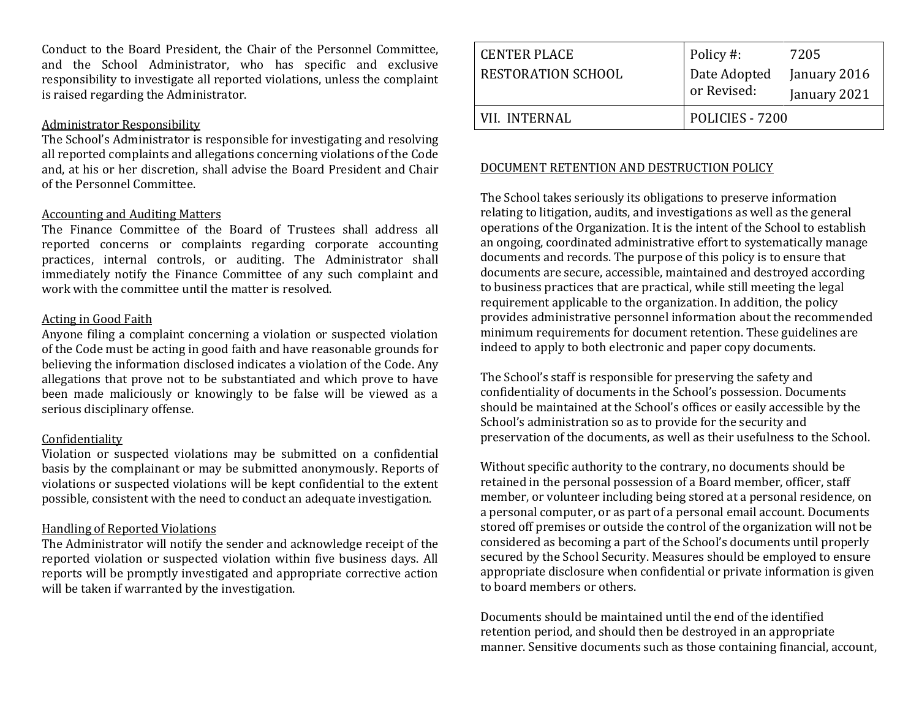Conduct to the Board President, the Chair of the Personnel Committee, and the School Administrator, who has specific and exclusive responsibility to investigate all reported violations, unless the complaint is raised regarding the Administrator.

#### Administrator Responsibility

The School's Administrator is responsible for investigating and resolving all reported complaints and allegations concerning violations of the Code and, at his or her discretion, shall advise the Board President and Chair of the Personnel Committee.

#### Accounting and Auditing Matters

The Finance Committee of the Board of Trustees shall address all reported concerns or complaints regarding corporate accounting practices, internal controls, or auditing. The Administrator shall immediately notify the Finance Committee of any such complaint and work with the committee until the matter is resolved.

#### Acting in Good Faith

Anyone filing a complaint concerning a violation or suspected violation of the Code must be acting in good faith and have reasonable grounds for believing the information disclosed indicates a violation of the Code. Any allegations that prove not to be substantiated and which prove to have been made maliciously or knowingly to be false will be viewed as a serious disciplinary offense.

#### Confidentiality

Violation or suspected violations may be submitted on a confidential basis by the complainant or may be submitted anonymously. Reports of violations or suspected violations will be kept confidential to the extent possible, consistent with the need to conduct an adequate investigation.

#### Handling of Reported Violations

The Administrator will notify the sender and acknowledge receipt of the reported violation or suspected violation within five business days. All reports will be promptly investigated and appropriate corrective action will be taken if warranted by the investigation.

| <b>CENTER PLACE</b><br>RESTORATION SCHOOL | Policy #:<br>Date Adopted<br>or Revised: | 7205<br>January 2016<br>January 2021 |
|-------------------------------------------|------------------------------------------|--------------------------------------|
| VIL INTERNAL                              | POLICIES - 7200                          |                                      |

## DOCUMENT RETENTION AND DESTRUCTION POLICY

The School takes seriously its obligations to preserve information relating to litigation, audits, and investigations as well as the general operations of the Organization. It is the intent of the School to establish an ongoing, coordinated administrative effort to systematically manage documents and records. The purpose of this policy is to ensure that documents are secure, accessible, maintained and destroyed according to business practices that are practical, while still meeting the legal requirement applicable to the organization. In addition, the policy provides administrative personnel information about the recommended minimum requirements for document retention. These guidelines are indeed to apply to both electronic and paper copy documents.

The School's staff is responsible for preserving the safety and confidentiality of documents in the School's possession. Documents should be maintained at the School's offices or easily accessible by the School's administration so as to provide for the security and preservation of the documents, as well as their usefulness to the School.

Without specific authority to the contrary, no documents should be retained in the personal possession of a Board member, officer, staff member, or volunteer including being stored at a personal residence, on a personal computer, or as part of a personal email account. Documents stored off premises or outside the control of the organization will not be considered as becoming a part of the School's documents until properly secured by the School Security. Measures should be employed to ensure appropriate disclosure when confidential or private information is given to board members or others.

Documents should be maintained until the end of the identified retention period, and should then be destroyed in an appropriate manner. Sensitive documents such as those containing financial, account,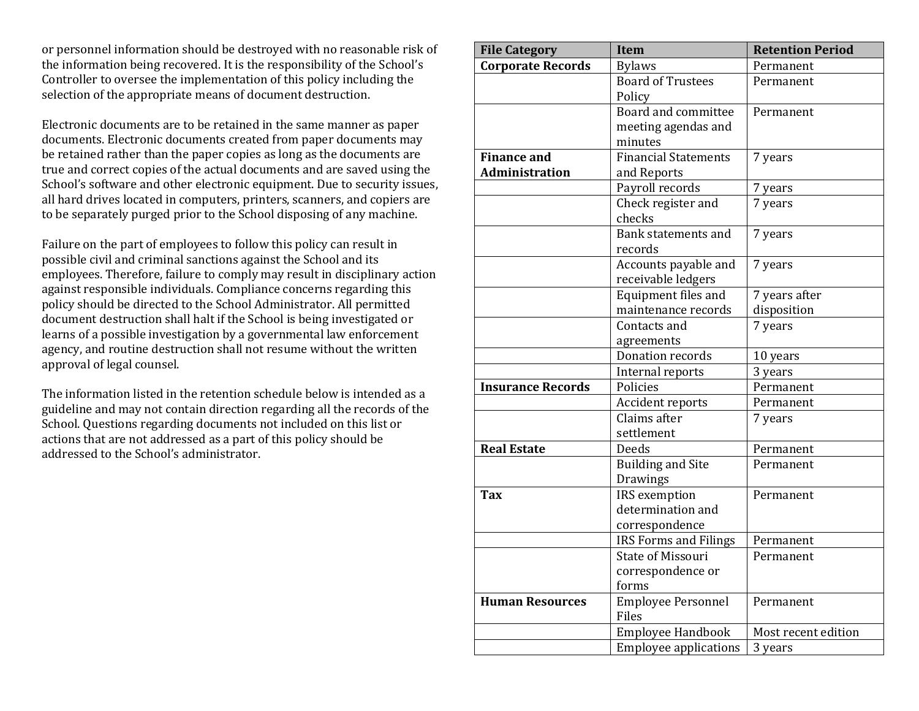or personnel information should be destroyed with no reasonable risk of the information being recovered. It is the responsibility of the School's Controller to oversee the implementation of this policy including the selection of the appropriate means of document destruction.

Electronic documents are to be retained in the same manner as paper documents. Electronic documents created from paper documents may be retained rather than the paper copies as long as the documents are true and correct copies of the actual documents and are saved using the School's software and other electronic equipment. Due to security issues, all hard drives located in computers, printers, scanners, and copiers are to be separately purged prior to the School disposing of any machine.

Failure on the part of employees to follow this policy can result in possible civil and criminal sanctions against the School and its employees. Therefore, failure to comply may result in disciplinary action against responsible individuals. Compliance concerns regarding this policy should be directed to the School Administrator. All permitted document destruction shall halt if the School is being investigated or learns of a possible investigation by a governmental law enforcement agency, and routine destruction shall not resume without the written approval of legal counsel.

The information listed in the retention schedule below is intended as a guideline and may not contain direction regarding all the records of the School. Questions regarding documents not included on this list or actions that are not addressed as a part of this policy should be addressed to the School's administrator.

| <b>File Category</b>                        | <b>Item</b>                                            | <b>Retention Period</b> |  |
|---------------------------------------------|--------------------------------------------------------|-------------------------|--|
| <b>Corporate Records</b>                    | <b>Bylaws</b>                                          | Permanent               |  |
|                                             | <b>Board of Trustees</b><br>Policy                     | Permanent               |  |
|                                             | Board and committee<br>meeting agendas and<br>minutes  | Permanent               |  |
| <b>Finance and</b><br><b>Administration</b> | <b>Financial Statements</b><br>and Reports             | 7 years                 |  |
|                                             | Payroll records                                        | 7 years                 |  |
|                                             | Check register and<br>checks                           | 7 years                 |  |
|                                             | <b>Bank statements and</b><br>records                  | 7 years                 |  |
|                                             | Accounts payable and<br>receivable ledgers             | 7 years                 |  |
|                                             | Equipment files and                                    | 7 years after           |  |
|                                             | maintenance records                                    | disposition             |  |
|                                             | Contacts and<br>agreements                             | 7 years                 |  |
|                                             | Donation records                                       | 10 years                |  |
|                                             | Internal reports                                       | 3 years                 |  |
| <b>Insurance Records</b>                    | Policies                                               | Permanent               |  |
|                                             | Accident reports                                       | Permanent               |  |
|                                             | Claims after<br>settlement                             | 7 years                 |  |
| <b>Real Estate</b>                          | Deeds                                                  | Permanent               |  |
|                                             | <b>Building and Site</b><br>Drawings                   | Permanent               |  |
| <b>Tax</b>                                  | IRS exemption<br>determination and<br>correspondence   | Permanent               |  |
|                                             | IRS Forms and Filings                                  | Permanent               |  |
|                                             | <b>State of Missouri</b><br>correspondence or<br>forms | Permanent               |  |
| <b>Human Resources</b>                      | <b>Employee Personnel</b><br>Files                     | Permanent               |  |
|                                             | Employee Handbook                                      | Most recent edition     |  |
|                                             | <b>Employee applications</b>                           | 3 years                 |  |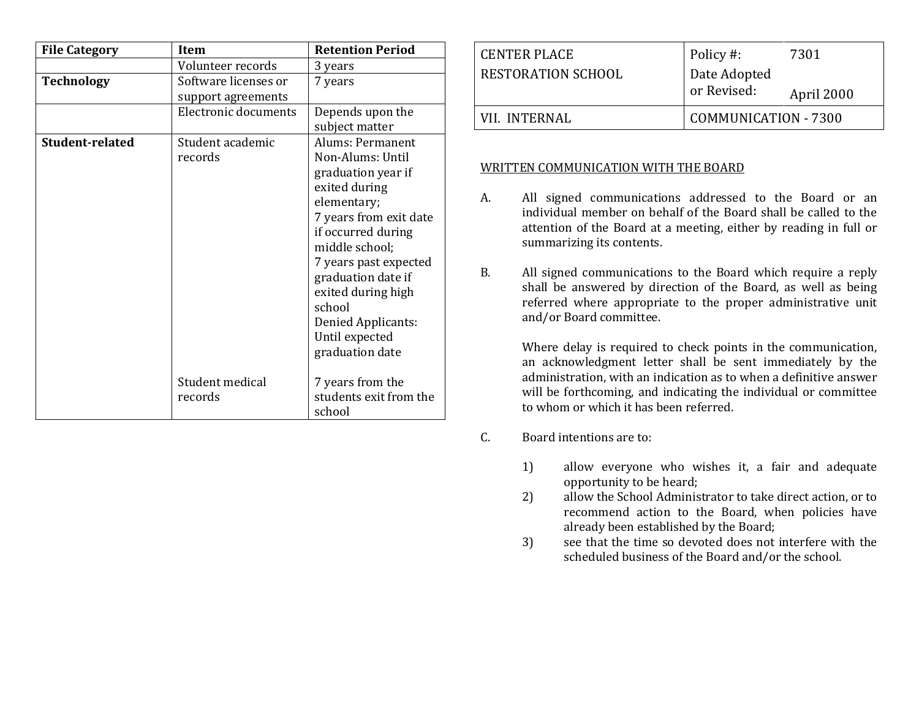| <b>File Category</b> | Item                                       | <b>Retention Period</b>                                                                                                                                                                                                                                                                                |  |
|----------------------|--------------------------------------------|--------------------------------------------------------------------------------------------------------------------------------------------------------------------------------------------------------------------------------------------------------------------------------------------------------|--|
|                      | Volunteer records                          | 3 years                                                                                                                                                                                                                                                                                                |  |
| <b>Technology</b>    | Software licenses or<br>support agreements | 7 years                                                                                                                                                                                                                                                                                                |  |
|                      | Electronic documents                       | Depends upon the<br>subject matter                                                                                                                                                                                                                                                                     |  |
| Student-related      | Student academic<br>records                | Alums: Permanent<br>Non-Alums: Until<br>graduation year if<br>exited during<br>elementary;<br>7 years from exit date<br>if occurred during<br>middle school;<br>7 years past expected<br>graduation date if<br>exited during high<br>school<br>Denied Applicants:<br>Until expected<br>graduation date |  |
|                      | Student medical<br>records                 | 7 years from the<br>students exit from the<br>school                                                                                                                                                                                                                                                   |  |

| CENTER PLACE       | Policy #:                   | 7301       |
|--------------------|-----------------------------|------------|
| RESTORATION SCHOOL | Date Adopted                |            |
|                    | or Revised:                 | April 2000 |
| VII. INTERNAL      | <b>COMMUNICATION - 7300</b> |            |

#### WRITTEN COMMUNICATION WITH THE BOARD

- A. All signed communications addressed to the Board or an individual member on behalf of the Board shall be called to the attention of the Board at a meeting, either by reading in full or summarizing its contents.
- B. All signed communications to the Board which require a reply shall be answered by direction of the Board, as well as being referred where appropriate to the proper administrative unit and/or Board committee.

Where delay is required to check points in the communication, an acknowledgment letter shall be sent immediately by the administration, with an indication as to when a definitive answer will be forthcoming, and indicating the individual or committee to whom or which it has been referred.

#### C. Board intentions are to:

- 1) allow everyone who wishes it, a fair and adequate opportunity to be heard;
- 2) allow the School Administrator to take direct action, or to recommend action to the Board, when policies have already been established by the Board;
- 3) see that the time so devoted does not interfere with the scheduled business of the Board and/or the school.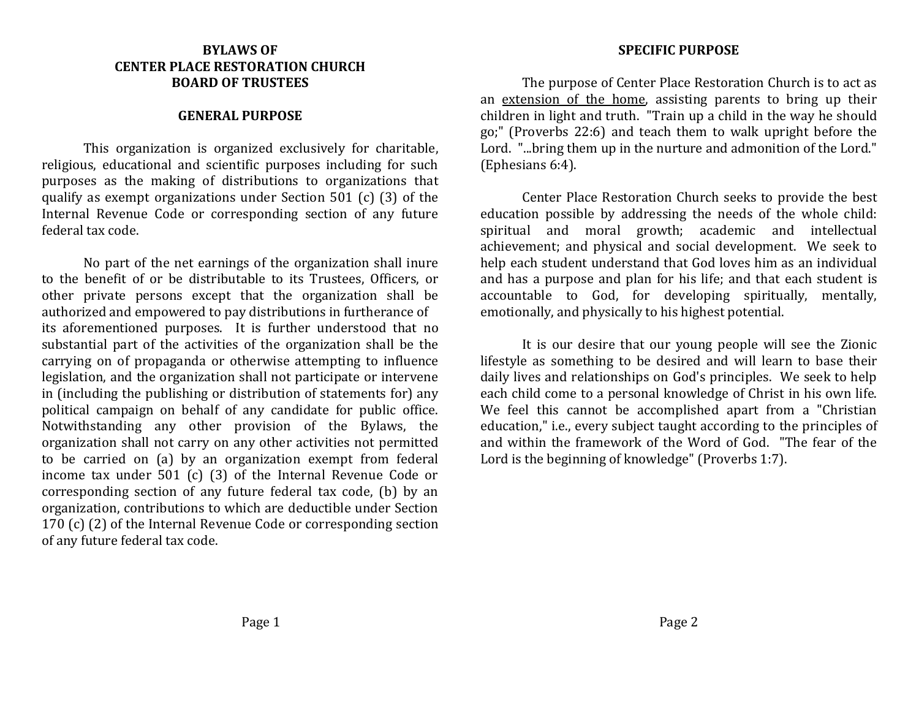# **BYLAWS OF CENTER PLACE RESTORATION CHURCH BOARD OF TRUSTEES**

## **GENERAL PURPOSE**

This organization is organized exclusively for charitable, religious, educational and scientific purposes including for such purposes as the making of distributions to organizations that qualify as exempt organizations under Section 501 (c) (3) of the Internal Revenue Code or corresponding section of any future federal tax code.

No part of the net earnings of the organization shall inure to the benefit of or be distributable to its Trustees, Officers, or other private persons except that the organization shall be authorized and empowered to pay distributions in furtherance of its aforementioned purposes. It is further understood that no substantial part of the activities of the organization shall be the carrying on of propaganda or otherwise attempting to influence legislation, and the organization shall not participate or intervene in (including the publishing or distribution of statements for) any political campaign on behalf of any candidate for public office. Notwithstanding any other provision of the Bylaws, the organization shall not carry on any other activities not permitted to be carried on (a) by an organization exempt from federal income tax under 501 (c) (3) of the Internal Revenue Code or corresponding section of any future federal tax code, (b) by an organization, contributions to which are deductible under Section 170 (c) (2) of the Internal Revenue Code or corresponding section of any future federal tax code.

#### **SPECIFIC PURPOSE**

The purpose of Center Place Restoration Church is to act as an extension of the home, assisting parents to bring up their children in light and truth. "Train up a child in the way he should go;" (Proverbs 22:6) and teach them to walk upright before the Lord. "...bring them up in the nurture and admonition of the Lord." (Ephesians 6:4).

Center Place Restoration Church seeks to provide the best education possible by addressing the needs of the whole child: spiritual and moral growth; academic and intellectual achievement; and physical and social development. We seek to help each student understand that God loves him as an individual and has a purpose and plan for his life; and that each student is accountable to God, for developing spiritually, mentally, emotionally, and physically to his highest potential.

It is our desire that our young people will see the Zionic lifestyle as something to be desired and will learn to base their daily lives and relationships on God's principles. We seek to help each child come to a personal knowledge of Christ in his own life. We feel this cannot be accomplished apart from a "Christian education," i.e., every subject taught according to the principles of and within the framework of the Word of God. "The fear of the Lord is the beginning of knowledge" (Proverbs 1:7).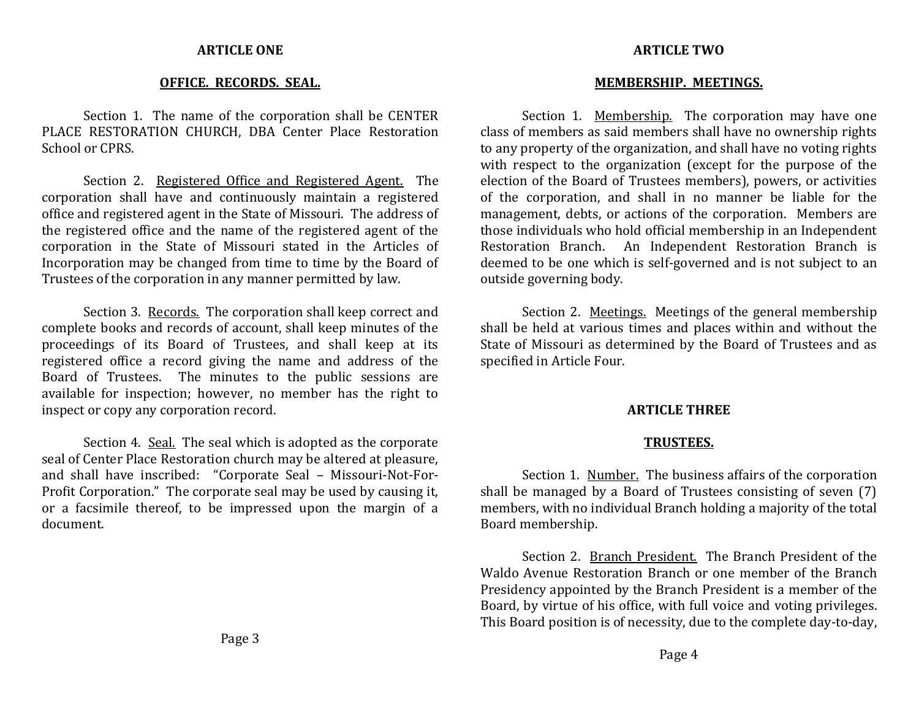#### **ARTICLE ONE**

### **OFFICE. RECORDS. SEAL.**

Section 1. The name of the corporation shall be CENTER PLACE RESTORATION CHURCH, DBA Center Place Restoration School or CPRS.

Section 2. Registered Office and Registered Agent. The corporation shall have and continuously maintain a registered office and registered agent in the State of Missouri. The address of the registered office and the name of the registered agent of the corporation in the State of Missouri stated in the Articles of Incorporation may be changed from time to time by the Board of Trustees of the corporation in any manner permitted by law.

Section 3. Records. The corporation shall keep correct and complete books and records of account, shall keep minutes of the proceedings of its Board of Trustees, and shall keep at its registered office a record giving the name and address of the Board of Trustees. The minutes to the public sessions are available for inspection; however, no member has the right to inspect or copy any corporation record.

Section 4. Seal. The seal which is adopted as the corporate seal of Center Place Restoration church may be altered at pleasure, and shall have inscribed: "Corporate Seal – Missouri-Not-For-Profit Corporation." The corporate seal may be used by causing it, or a facsimile thereof, to be impressed upon the margin of a document.

# **ARTICLE TWO**

#### **MEMBERSHIP. MEETINGS.**

Section 1. Membership. The corporation may have one class of members as said members shall have no ownership rights to any property of the organization, and shall have no voting rights with respect to the organization (except for the purpose of the election of the Board of Trustees members), powers, or activities of the corporation, and shall in no manner be liable for the management, debts, or actions of the corporation. Members are those individuals who hold official membership in an Independent Restoration Branch. An Independent Restoration Branch is deemed to be one which is self-governed and is not subject to an outside governing body.

Section 2. Meetings. Meetings of the general membership shall be held at various times and places within and without the State of Missouri as determined by the Board of Trustees and as specified in Article Four.

#### **ARTICLE THREE**

### **TRUSTEES.**

Section 1. Number. The business affairs of the corporation shall be managed by a Board of Trustees consisting of seven (7) members, with no individual Branch holding a majority of the total Board membership.

Section 2. Branch President. The Branch President of the Waldo Avenue Restoration Branch or one member of the Branch Presidency appointed by the Branch President is a member of the Board, by virtue of his office, with full voice and voting privileges. This Board position is of necessity, due to the complete day-to-day,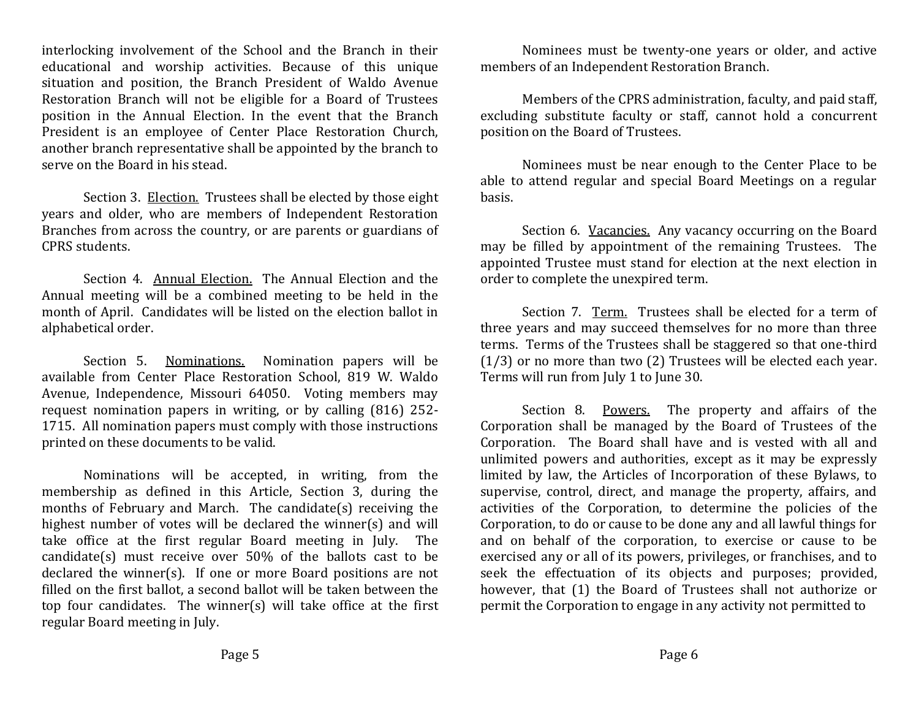interlocking involvement of the School and the Branch in their educational and worship activities. Because of this unique situation and position, the Branch President of Waldo Avenue Restoration Branch will not be eligible for a Board of Trustees position in the Annual Election. In the event that the Branch President is an employee of Center Place Restoration Church, another branch representative shall be appointed by the branch to serve on the Board in his stead.

Section 3. Election. Trustees shall be elected by those eight years and older, who are members of Independent Restoration Branches from across the country, or are parents or guardians of CPRS students.

Section 4. Annual Election. The Annual Election and the Annual meeting will be a combined meeting to be held in the month of April. Candidates will be listed on the election ballot in alphabetical order.

Section 5. Nominations. Nomination papers will be available from Center Place Restoration School, 819 W. Waldo Avenue, Independence, Missouri 64050. Voting members may request nomination papers in writing, or by calling (816) 252- 1715. All nomination papers must comply with those instructions printed on these documents to be valid.

Nominations will be accepted, in writing, from the membership as defined in this Article, Section 3, during the months of February and March. The candidate(s) receiving the highest number of votes will be declared the winner(s) and will take office at the first regular Board meeting in July. The candidate(s) must receive over 50% of the ballots cast to be declared the winner(s). If one or more Board positions are not filled on the first ballot, a second ballot will be taken between the top four candidates. The winner(s) will take office at the first regular Board meeting in July.

Nominees must be twenty-one years or older, and active members of an Independent Restoration Branch.

Members of the CPRS administration, faculty, and paid staff, excluding substitute faculty or staff, cannot hold a concurrent position on the Board of Trustees.

Nominees must be near enough to the Center Place to be able to attend regular and special Board Meetings on a regular basis.

Section 6. Vacancies. Any vacancy occurring on the Board may be filled by appointment of the remaining Trustees. The appointed Trustee must stand for election at the next election in order to complete the unexpired term.

Section 7. Term. Trustees shall be elected for a term of three years and may succeed themselves for no more than three terms. Terms of the Trustees shall be staggered so that one-third (1/3) or no more than two (2) Trustees will be elected each year. Terms will run from July 1 to June 30.

Section 8. Powers. The property and affairs of the Corporation shall be managed by the Board of Trustees of the Corporation. The Board shall have and is vested with all and unlimited powers and authorities, except as it may be expressly limited by law, the Articles of Incorporation of these Bylaws, to supervise, control, direct, and manage the property, affairs, and activities of the Corporation, to determine the policies of the Corporation, to do or cause to be done any and all lawful things for and on behalf of the corporation, to exercise or cause to be exercised any or all of its powers, privileges, or franchises, and to seek the effectuation of its objects and purposes; provided, however, that (1) the Board of Trustees shall not authorize or permit the Corporation to engage in any activity not permitted to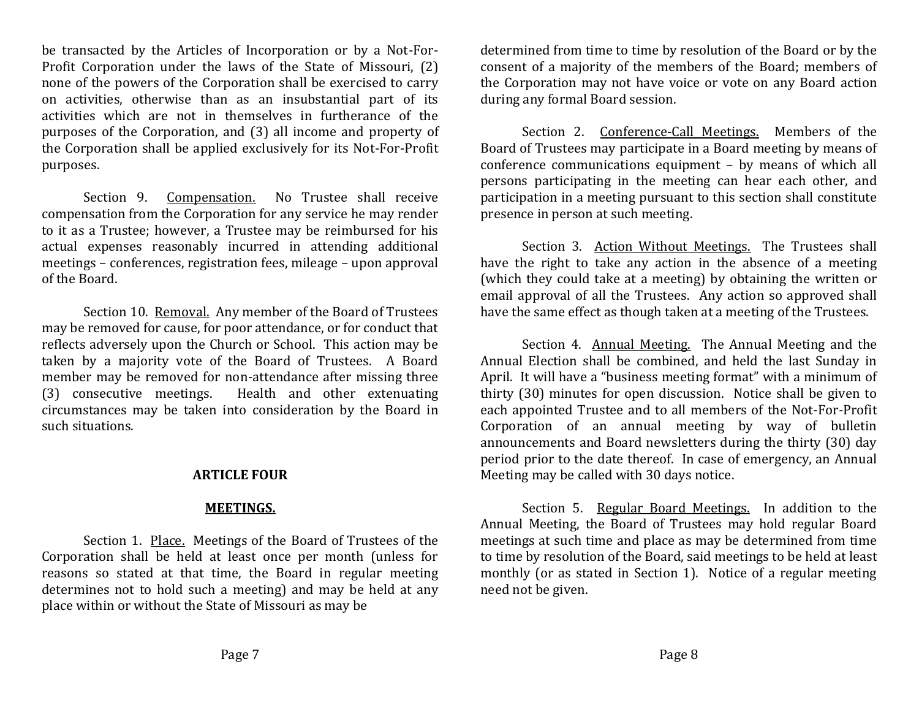be transacted by the Articles of Incorporation or by a Not-For-Profit Corporation under the laws of the State of Missouri, (2) none of the powers of the Corporation shall be exercised to carry on activities, otherwise than as an insubstantial part of its activities which are not in themselves in furtherance of the purposes of the Corporation, and (3) all income and property of the Corporation shall be applied exclusively for its Not-For-Profit purposes.

Section 9. Compensation. No Trustee shall receive compensation from the Corporation for any service he may render to it as a Trustee; however, a Trustee may be reimbursed for his actual expenses reasonably incurred in attending additional meetings – conferences, registration fees, mileage – upon approval of the Board.

Section 10. Removal. Any member of the Board of Trustees may be removed for cause, for poor attendance, or for conduct that reflects adversely upon the Church or School. This action may be taken by a majority vote of the Board of Trustees. A Board member may be removed for non-attendance after missing three (3) consecutive meetings. Health and other extenuating circumstances may be taken into consideration by the Board in such situations.

## **ARTICLE FOUR**

# **MEETINGS.**

Section 1. Place. Meetings of the Board of Trustees of the Corporation shall be held at least once per month (unless for reasons so stated at that time, the Board in regular meeting determines not to hold such a meeting) and may be held at any place within or without the State of Missouri as may be

determined from time to time by resolution of the Board or by the consent of a majority of the members of the Board; members of the Corporation may not have voice or vote on any Board action during any formal Board session.

Section 2. Conference-Call Meetings. Members of the Board of Trustees may participate in a Board meeting by means of conference communications equipment – by means of which all persons participating in the meeting can hear each other, and participation in a meeting pursuant to this section shall constitute presence in person at such meeting.

Section 3. Action Without Meetings. The Trustees shall have the right to take any action in the absence of a meeting (which they could take at a meeting) by obtaining the written or email approval of all the Trustees. Any action so approved shall have the same effect as though taken at a meeting of the Trustees.

Section 4. Annual Meeting. The Annual Meeting and the Annual Election shall be combined, and held the last Sunday in April. It will have a "business meeting format" with a minimum of thirty (30) minutes for open discussion. Notice shall be given to each appointed Trustee and to all members of the Not-For-Profit Corporation of an annual meeting by way of bulletin announcements and Board newsletters during the thirty (30) day period prior to the date thereof. In case of emergency, an Annual Meeting may be called with 30 days notice.

Section 5. Regular Board Meetings. In addition to the Annual Meeting, the Board of Trustees may hold regular Board meetings at such time and place as may be determined from time to time by resolution of the Board, said meetings to be held at least monthly (or as stated in Section 1). Notice of a regular meeting need not be given.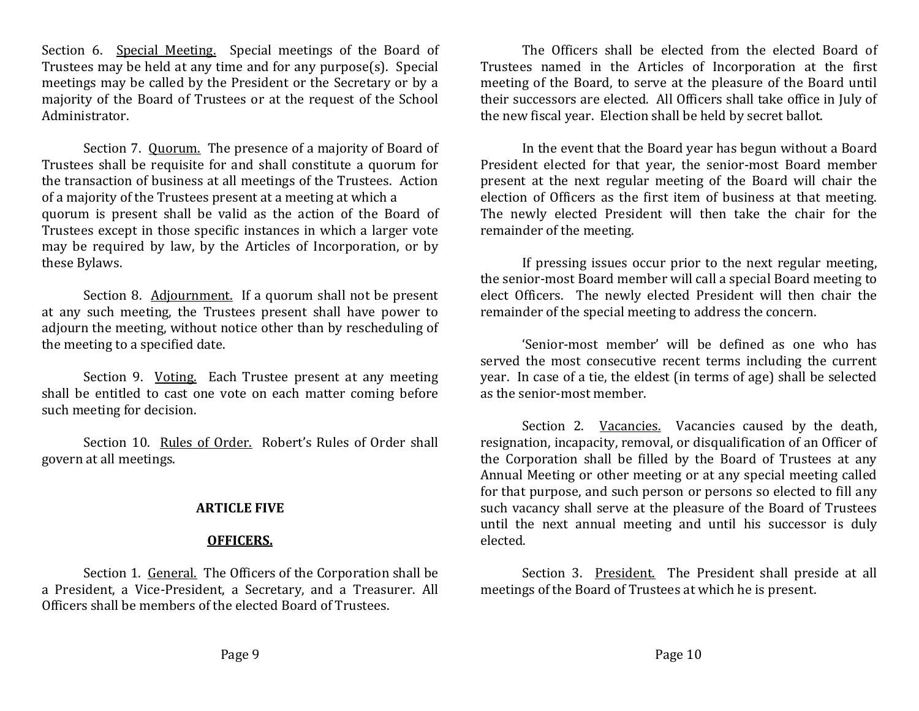Section 6. Special Meeting. Special meetings of the Board of Trustees may be held at any time and for any purpose(s). Special meetings may be called by the President or the Secretary or by a majority of the Board of Trustees or at the request of the School Administrator.

Section 7. Quorum. The presence of a majority of Board of Trustees shall be requisite for and shall constitute a quorum for the transaction of business at all meetings of the Trustees. Action of a majority of the Trustees present at a meeting at which a quorum is present shall be valid as the action of the Board of Trustees except in those specific instances in which a larger vote may be required by law, by the Articles of Incorporation, or by these Bylaws.

Section 8. Adjournment. If a quorum shall not be present at any such meeting, the Trustees present shall have power to adjourn the meeting, without notice other than by rescheduling of the meeting to a specified date.

Section 9. Voting. Each Trustee present at any meeting shall be entitled to cast one vote on each matter coming before such meeting for decision.

Section 10. Rules of Order. Robert's Rules of Order shall govern at all meetings.

# **ARTICLE FIVE**

## **OFFICERS.**

Section 1. General. The Officers of the Corporation shall be a President, a Vice-President, a Secretary, and a Treasurer. All Officers shall be members of the elected Board of Trustees.

The Officers shall be elected from the elected Board of Trustees named in the Articles of Incorporation at the first meeting of the Board, to serve at the pleasure of the Board until their successors are elected. All Officers shall take office in July of the new fiscal year. Election shall be held by secret ballot.

In the event that the Board year has begun without a Board President elected for that year, the senior-most Board member present at the next regular meeting of the Board will chair the election of Officers as the first item of business at that meeting. The newly elected President will then take the chair for the remainder of the meeting.

If pressing issues occur prior to the next regular meeting, the senior-most Board member will call a special Board meeting to elect Officers. The newly elected President will then chair the remainder of the special meeting to address the concern.

'Senior-most member' will be defined as one who has served the most consecutive recent terms including the current year. In case of a tie, the eldest (in terms of age) shall be selected as the senior-most member.

Section 2. Vacancies. Vacancies caused by the death, resignation, incapacity, removal, or disqualification of an Officer of the Corporation shall be filled by the Board of Trustees at any Annual Meeting or other meeting or at any special meeting called for that purpose, and such person or persons so elected to fill any such vacancy shall serve at the pleasure of the Board of Trustees until the next annual meeting and until his successor is duly elected.

Section 3. President. The President shall preside at all meetings of the Board of Trustees at which he is present.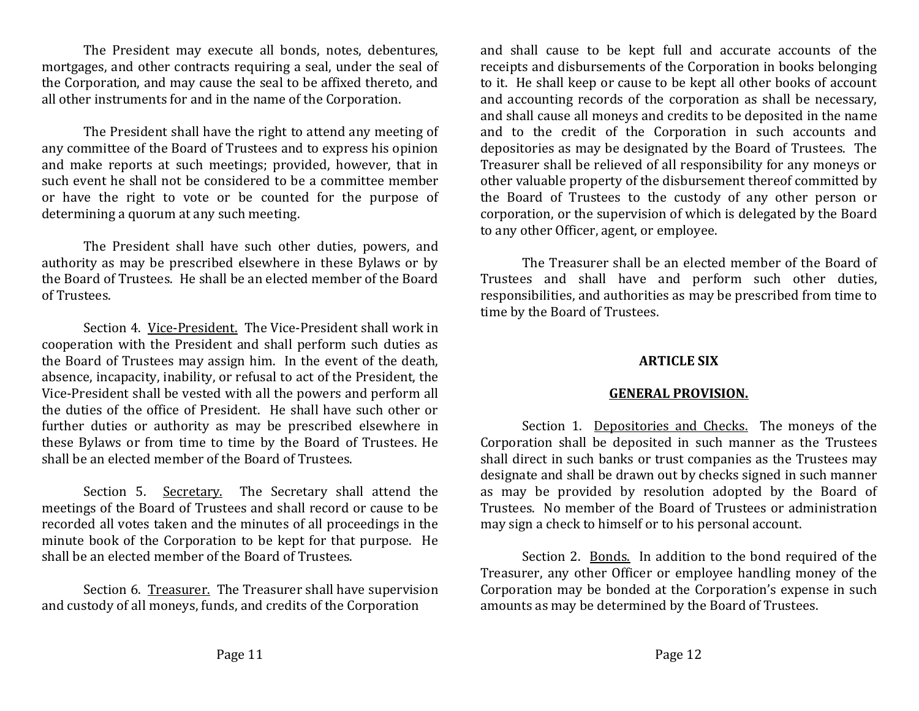The President may execute all bonds, notes, debentures, mortgages, and other contracts requiring a seal, under the seal of the Corporation, and may cause the seal to be affixed thereto, and all other instruments for and in the name of the Corporation.

The President shall have the right to attend any meeting of any committee of the Board of Trustees and to express his opinion and make reports at such meetings; provided, however, that in such event he shall not be considered to be a committee member or have the right to vote or be counted for the purpose of determining a quorum at any such meeting.

The President shall have such other duties, powers, and authority as may be prescribed elsewhere in these Bylaws or by the Board of Trustees. He shall be an elected member of the Board of Trustees.

Section 4. Vice-President. The Vice-President shall work in cooperation with the President and shall perform such duties as the Board of Trustees may assign him. In the event of the death, absence, incapacity, inability, or refusal to act of the President, the Vice-President shall be vested with all the powers and perform all the duties of the office of President. He shall have such other or further duties or authority as may be prescribed elsewhere in these Bylaws or from time to time by the Board of Trustees. He shall be an elected member of the Board of Trustees.

Section 5. Secretary. The Secretary shall attend the meetings of the Board of Trustees and shall record or cause to be recorded all votes taken and the minutes of all proceedings in the minute book of the Corporation to be kept for that purpose. He shall be an elected member of the Board of Trustees.

Section 6. Treasurer. The Treasurer shall have supervision and custody of all moneys, funds, and credits of the Corporation

and shall cause to be kept full and accurate accounts of the receipts and disbursements of the Corporation in books belonging to it. He shall keep or cause to be kept all other books of account and accounting records of the corporation as shall be necessary, and shall cause all moneys and credits to be deposited in the name and to the credit of the Corporation in such accounts and depositories as may be designated by the Board of Trustees. The Treasurer shall be relieved of all responsibility for any moneys or other valuable property of the disbursement thereof committed by the Board of Trustees to the custody of any other person or corporation, or the supervision of which is delegated by the Board to any other Officer, agent, or employee.

The Treasurer shall be an elected member of the Board of Trustees and shall have and perform such other duties, responsibilities, and authorities as may be prescribed from time to time by the Board of Trustees.

# **ARTICLE SIX**

# **GENERAL PROVISION.**

Section 1. Depositories and Checks. The moneys of the Corporation shall be deposited in such manner as the Trustees shall direct in such banks or trust companies as the Trustees may designate and shall be drawn out by checks signed in such manner as may be provided by resolution adopted by the Board of Trustees. No member of the Board of Trustees or administration may sign a check to himself or to his personal account.

Section 2. Bonds. In addition to the bond required of the Treasurer, any other Officer or employee handling money of the Corporation may be bonded at the Corporation's expense in such amounts as may be determined by the Board of Trustees.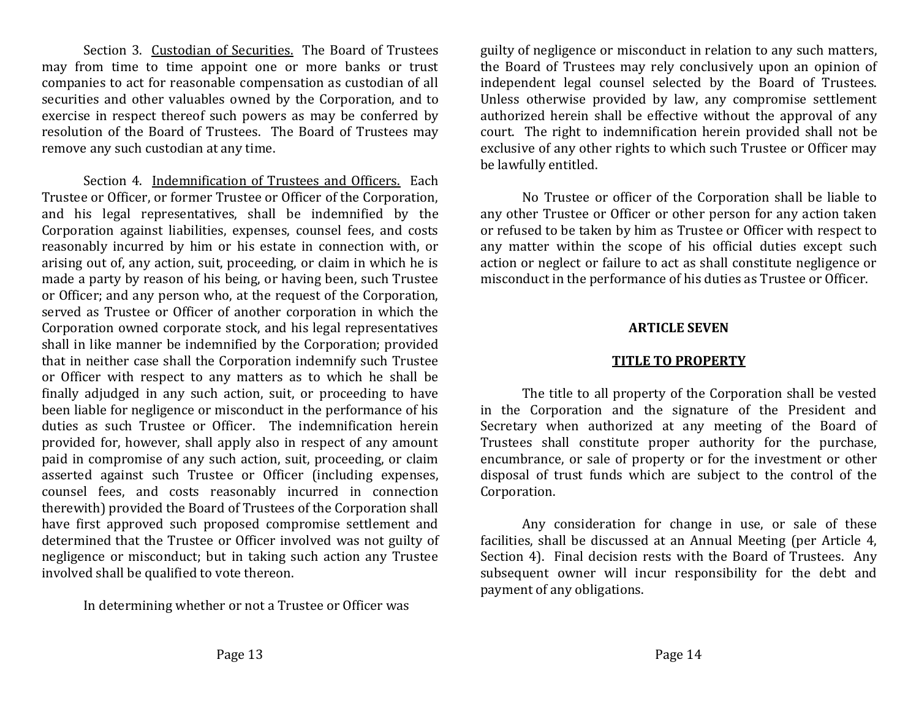Section 3. Custodian of Securities. The Board of Trustees may from time to time appoint one or more banks or trust companies to act for reasonable compensation as custodian of all securities and other valuables owned by the Corporation, and to exercise in respect thereof such powers as may be conferred by resolution of the Board of Trustees. The Board of Trustees may remove any such custodian at any time.

Section 4. Indemnification of Trustees and Officers. Each Trustee or Officer, or former Trustee or Officer of the Corporation, and his legal representatives, shall be indemnified by the Corporation against liabilities, expenses, counsel fees, and costs reasonably incurred by him or his estate in connection with, or arising out of, any action, suit, proceeding, or claim in which he is made a party by reason of his being, or having been, such Trustee or Officer; and any person who, at the request of the Corporation, served as Trustee or Officer of another corporation in which the Corporation owned corporate stock, and his legal representatives shall in like manner be indemnified by the Corporation; provided that in neither case shall the Corporation indemnify such Trustee or Officer with respect to any matters as to which he shall be finally adjudged in any such action, suit, or proceeding to have been liable for negligence or misconduct in the performance of his duties as such Trustee or Officer. The indemnification herein provided for, however, shall apply also in respect of any amount paid in compromise of any such action, suit, proceeding, or claim asserted against such Trustee or Officer (including expenses, counsel fees, and costs reasonably incurred in connection therewith) provided the Board of Trustees of the Corporation shall have first approved such proposed compromise settlement and determined that the Trustee or Officer involved was not guilty of negligence or misconduct; but in taking such action any Trustee involved shall be qualified to vote thereon.

In determining whether or not a Trustee or Officer was

guilty of negligence or misconduct in relation to any such matters, the Board of Trustees may rely conclusively upon an opinion of independent legal counsel selected by the Board of Trustees. Unless otherwise provided by law, any compromise settlement authorized herein shall be effective without the approval of any court. The right to indemnification herein provided shall not be exclusive of any other rights to which such Trustee or Officer may be lawfully entitled.

No Trustee or officer of the Corporation shall be liable to any other Trustee or Officer or other person for any action taken or refused to be taken by him as Trustee or Officer with respect to any matter within the scope of his official duties except such action or neglect or failure to act as shall constitute negligence or misconduct in the performance of his duties as Trustee or Officer.

### **ARTICLE SEVEN**

## **TITLE TO PROPERTY**

The title to all property of the Corporation shall be vested in the Corporation and the signature of the President and Secretary when authorized at any meeting of the Board of Trustees shall constitute proper authority for the purchase, encumbrance, or sale of property or for the investment or other disposal of trust funds which are subject to the control of the Corporation.

Any consideration for change in use, or sale of these facilities, shall be discussed at an Annual Meeting (per Article 4, Section 4). Final decision rests with the Board of Trustees. Any subsequent owner will incur responsibility for the debt and payment of any obligations.